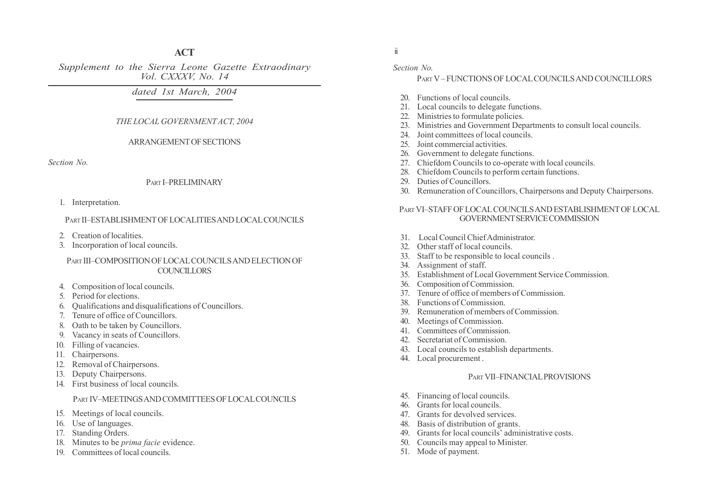# **ACT**

Supplement to the Sierra Leone Gazette Extraodinary Vol. CXXXV, No. 14

dated 1st March, 2004

# THE LOCAL GOVERNMENTACT, 2004

#### ARRANGEMENT OF SECTIONS

Section No.

## PART **I-PRELIMINARY**

1. Interpretation.

# PART II-ESTABLISHMENT OF LOCALITIES AND LOCAL COUNCILS

- 2. Creation of localities.
- 3. Incorporation of local councils.

#### PART III-COMPOSITION OF LOCAL COUNCILS AND ELECTION OF **COUNCILLORS**

- 4. Composition of local councils.
- 5. Period for elections.
- 6. Qualifications and disqualifications of Councillors.
- 7. Tenure of office of Councillors.
- 8. Oath to be taken by Councillors.
- 9. Vacancy in seats of Councillors.
- 10. Filling of vacancies.
- 11. Chairpersons.
- 12. Removal of Chairpersons.
- 13. Deputy Chairpersons.
- 14. First business of local councils.

# PART IV-MEETINGS AND COMMITTEES OF LOCAL COUNCILS

- 15. Meetings of local councils.
- 16. Use of languages.
- 17. Standing Orders.
- 18. Minutes to be prima facie evidence.
- 19. Committees of local councils.

ii

## Section No.

# PART V-FUNCTIONS OF LOCAL COUNCILS AND COUNCILLORS

- 20. Functions of local councils.
- 21. Local councils to delegate functions.
- 22. Ministries to formulate policies.
- 23. Ministries and Government Departments to consult local councils.
- 24. Joint committees of local councils.
- 25. Joint commercial activities.
- 26. Government to delegate functions.
- 27. Chiefdom Councils to co-operate with local councils.
- 28. Chiefdom Councils to perform certain functions.
- 29. Duties of Councillors.
- 30. Remuneration of Councillors, Chairpersons and Deputy Chairpersons.

# PART VI-STAFF OF LOCAL COUNCILS AND ESTABLISHMENT OF LOCAL GOVERNMENT SERVICE COMMISSION

- 31. Local Council Chief Administrator.
- 32. Other staff of local councils.
- 33. Staff to be responsible to local councils .
- 34. Assignment of staff.
- 35. Establishment of Local Government Service Commission.
- 36. Composition of Commission.
- 37. Tenure of office of members of Commission.
- 38. Functions of Commission.
- 39. Remuneration of members of Commission.
- 40. Meetings of Commission.
- 41. Committees of Commission.
- 42. Secretariat of Commission.
- 43. Local councils to establish departments.
- 44. Local procurement .

# PART VII-FINANCIAL PROVISIONS

- 45. Financing of local councils.
- 46. Grants for local councils.
- 47. Grants for devolved services.
- 48. Basis of distribution of grants.
- 49. Grants for local councils' administrative costs.
- 50. Councils may appeal to Minister.
- 51. Mode of payment.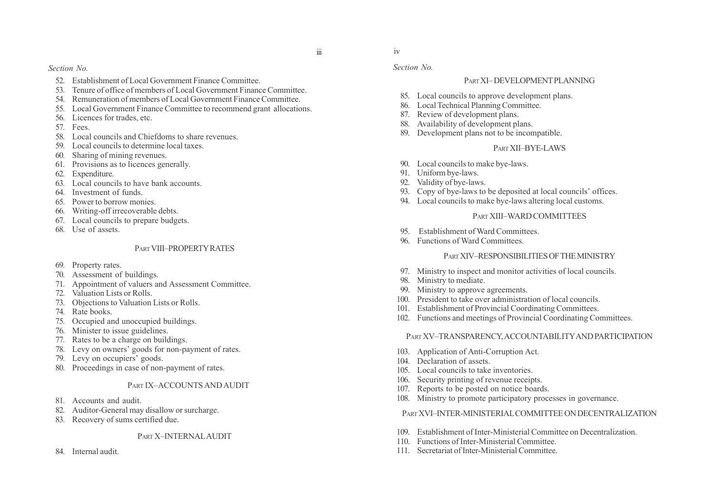Section No. Section No.

- 52. Establishment of Local Government Finance Committee.
- 53. Tenure of office of members of Local Government Finance Committee.
- 54. Remuneration of members of Local Government Finance Committee.
- 55. Local Government Finance Committee to recommend grant allocations.
- 56. Licences for trades, etc.
- 57. Fees.
- 58. Local councils and Chiefdoms to share revenues.
- 59. Local councils to determine local taxes.
- 60. Sharing of mining revenues.
- 61. Provisions as to licences generally.
- 62. Expenditure.
- 63. Local councils to have bank accounts.
- 64. Investment of funds.
- 65. Power to borrow monies.
- 66. Writing-off irrecoverable debts.
- 67. Local councils to prepare budgets.
- 68. Use of assets.

# PART VIII-PROPERTY RATES

- 69. Property rates.
- 70. Assessment of buildings.
- 71. Appointment of valuers and Assessment Committee.
- 72. Valuation Lists or Rolls.
- 73. Objections to Valuation Lists or Rolls.
- 74. Rate books.
- 75. Occupied and unoccupied buildings.
- 76. Minister to issue guidelines.
- 77. Rates to be a charge on buildings.
- 78. Levy on owners' goods for non-payment of rates.
- 79. Levy on occupiers' goods.
- 80. Proceedings in case of non-payment of rates.

# PART IX-ACCOUNTS AND AUDIT

- 81. Accounts and audit.
- 82. Auditor-General may disallow or surcharge.
- 83. Recovery of sums certified due.

# PART X-INTERNAL AUDIT

84. Internal audit.

# PART XI-DEVELOPMENT PLANNING

- 85. Local councils to approve development plans.
- 86. Local Technical Planning Committee.
- 87. Review of development plans.
- 88. Availability of development plans.
- 89. Development plans not to be incompatible.

# PART XII-BYE-LAWS

- 90. Local councils to make bye-laws.
- 91. Uniform bye-laws.
- 92. Validity of bye-laws.
- 93. Copy of bye-laws to be deposited at local councils' offices.
- 94. Local councils to make bye-laws altering local customs.

# PART XIII–WARD COMMITTEES

- 95. Establishment of Ward Committees.
- 96. Functions of Ward Committees.

# PART XIV-RESPONSIBILITIES OF THE MINISTRY

- 97. Ministry to inspect and monitor activities of local councils.
- Ministry to mediate.
- 99. Ministry to approve agreements.
- 100. President to take over administration of local councils.
- 101. Establishment of Provincial Coordinating Committees.
- 102. Functions and meetings of Provincial Coordinating Committees.

# PART XV-TRANSPARENCY, ACCOUNTABILITY AND PARTICIPATION

- 103. Application of Anti-Corruption Act.
- 104. Declaration of assets.
- 105. Local councils to take inventories.
- 106. Security printing of revenue receipts.
- 107. Reports to be posted on notice boards.
- 108. Ministry to promote participatory processes in governance.

# PART XVI-INTER-MINISTERIAL COMMITTEE ON DECENTRALIZATION

- 109. Establishment of Inter-Ministerial Committee on Decentralization.
- 110. Functions of Inter-Ministerial Committee.
- 111. Secretariat of Inter-Ministerial Committee.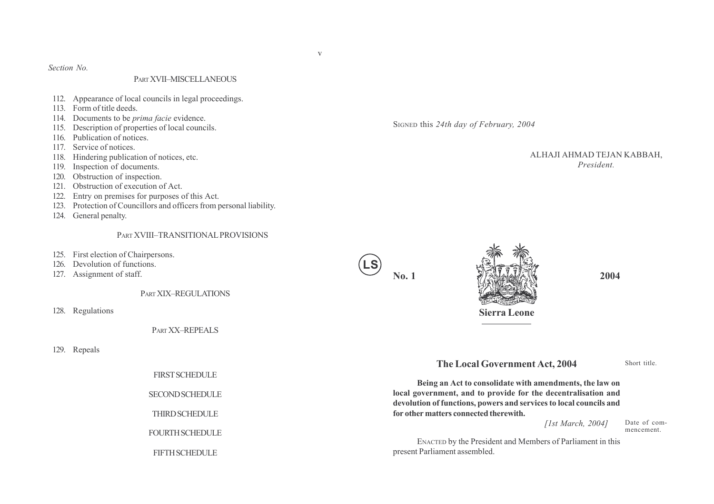Section No.

#### PART XVII-MISCELLANEOUS

- 112. Appearance of local councils in legal proceedings.
- 113. Form of title deeds.
- 114. Documents to be *prima facie* evidence.
- 115. Description of properties of local councils.
- 116. Publication of notices.
- 117. Service of notices.
- 118. Hindering publication of notices, etc.
- 119. Inspection of documents.
- 120. Obstruction of inspection.
- 121. Obstruction of execution of Act.
- 122. Entry on premises for purposes of this Act.
- 123. Protection of Councillors and officers from personal liability.
- 124. General penalty.

#### PART XVIII-TRANSITIONAL PROVISIONS

- 125. First election of Chairpersons.
- 126. Devolution of functions.
- 127. Assignment of staff.

PART XIX-REGULATIONS

128. Regulations

PART XX-REPEALS

129. Repeals

FIRST SCHEDULE

SECOND SCHEDULE

**THIRD SCHEDULE** 

FOURTH SCHEDULE

FIFTH SCHEDULE

SIGNED this 24th day of February, 2004

ALHAJI AHMAD TEJAN KABBAH, President.





# The Local Government Act, 2004

Short title.

Being an Act to consolidate with amendments, the law on local government, and to provide for the decentralisation and devolution of functions, powers and services to local councils and for other matters connected therewith.

[1st March, 2004]

Date of commencement.

ENACTED by the President and Members of Parliament in this present Parliament assembled.

v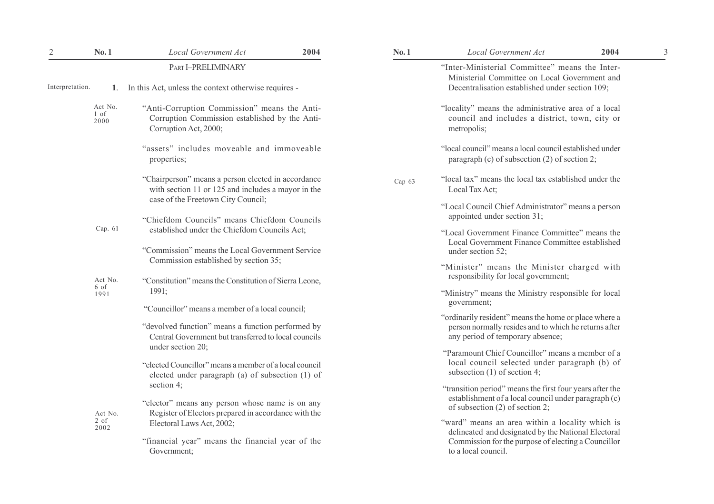| $\mathbf{2}$    | No.1                      | <b>Local Government Act</b>                                                                                                                                                       | 2004 | No.1   | Local Government Act                                                                                                                                                                 | 2004 |
|-----------------|---------------------------|-----------------------------------------------------------------------------------------------------------------------------------------------------------------------------------|------|--------|--------------------------------------------------------------------------------------------------------------------------------------------------------------------------------------|------|
| Interpretation. | 1.                        | PART I-PRELIMINARY<br>In this Act, unless the context otherwise requires -                                                                                                        |      |        | "Inter-Ministerial Committee" means the Inter-<br>Ministerial Committee on Local Government and<br>Decentralisation established under section 109;                                   |      |
|                 | Act No.<br>$1$ of<br>2000 | "Anti-Corruption Commission" means the Anti-<br>Corruption Commission established by the Anti-<br>Corruption Act, 2000;                                                           |      |        | "locality" means the administrative area of a local<br>council and includes a district, town, city or<br>metropolis;                                                                 |      |
|                 |                           | "assets" includes moveable and immoveable<br>properties;                                                                                                                          |      |        | "local council" means a local council established under<br>paragraph (c) of subsection (2) of section 2;                                                                             |      |
|                 |                           | "Chairperson" means a person elected in accordance<br>with section 11 or 125 and includes a mayor in the                                                                          |      | Cap 63 | "local tax" means the local tax established under the<br>Local Tax Act;                                                                                                              |      |
|                 |                           | case of the Freetown City Council;<br>"Chiefdom Councils" means Chiefdom Councils                                                                                                 |      |        | "Local Council Chief Administrator" means a person<br>appointed under section 31;                                                                                                    |      |
|                 | Cap. 61                   | established under the Chiefdom Councils Act;<br>"Commission" means the Local Government Service                                                                                   |      |        | "Local Government Finance Committee" means the<br>Local Government Finance Committee established<br>under section 52;                                                                |      |
|                 | Act No.                   | Commission established by section 35;<br>"Constitution" means the Constitution of Sierra Leone,                                                                                   |      |        | "Minister" means the Minister charged with<br>responsibility for local government;                                                                                                   |      |
|                 | 6 of<br>1991              | 1991;                                                                                                                                                                             |      |        | "Ministry" means the Ministry responsible for local<br>government;                                                                                                                   |      |
|                 |                           | "Councillor" means a member of a local council;<br>"devolved function" means a function performed by<br>Central Government but transferred to local councils<br>under section 20; |      |        | "ordinarily resident" means the home or place where a<br>person normally resides and to which he returns after<br>any period of temporary absence;                                   |      |
|                 |                           | "elected Councillor" means a member of a local council<br>elected under paragraph (a) of subsection (1) of                                                                        |      |        | "Paramount Chief Councillor" means a member of a<br>local council selected under paragraph (b) of<br>subsection $(1)$ of section 4;                                                  |      |
|                 | Act No.                   | section $4$ ;<br>"elector" means any person whose name is on any<br>Register of Electors prepared in accordance with the                                                          |      |        | "transition period" means the first four years after the<br>establishment of a local council under paragraph (c)<br>of subsection $(2)$ of section 2;                                |      |
|                 | $2 \text{ of }$<br>2002   | Electoral Laws Act, 2002;<br>"financial year" means the financial year of the<br>Government;                                                                                      |      |        | "ward" means an area within a locality which is<br>delineated and designated by the National Electoral<br>Commission for the purpose of electing a Councillor<br>to a local council. |      |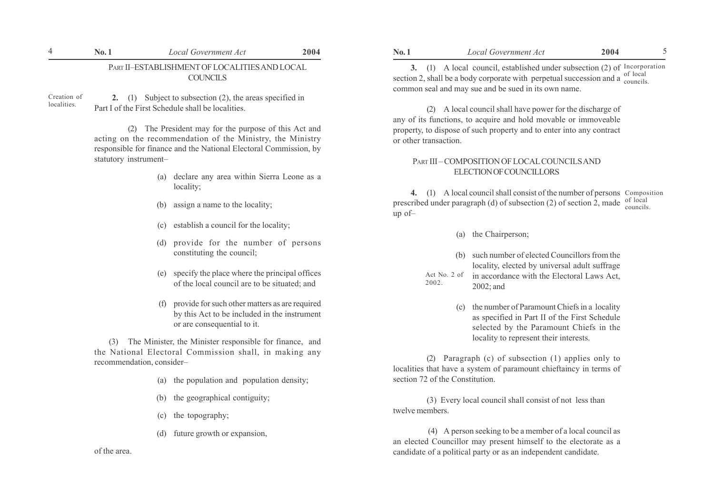## PART II-ESTABLISHMENT OF LOCALITIES AND LOCAL COUNCILS

Creation of localities.

2. (1) Subject to subsection (2), the areas specified in Part I of the First Schedule shall be localities.

(2) The President may for the purpose of this Act and acting on the recommendation of the Ministry, the Ministry responsible for finance and the National Electoral Commission, by statutory instrument-

- (a) declare any area within Sierra Leone as a locality;
- (b) assign a name to the locality;
- (c) establish a council for the locality;
- (d) provide for the number of persons constituting the council;
- (e) specify the place where the principal offices of the local council are to be situated; and
- (f) provide for such other matters as are required by this Act to be included in the instrument or are consequential to it.

 (3) The Minister, the Minister responsible for finance, and the National Electoral Commission shall, in making any recommendation, consider-

- (a) the population and population density;
- (b) the geographical contiguity;
- (c) the topography;
- (d) future growth or expansion,

of the area.

3. (1) A local council, established under subsection (2) of Incorporation section 2, shall be a body corporate with perpetual succession and a  $\frac{\text{of local}}{\text{count of}}$ common seal and may sue and be sued in its own name. councils.

(2) A local council shall have power for the discharge of any of its functions, to acquire and hold movable or immoveable property, to dispose of such property and to enter into any contract or other transaction.

## PART III – COMPOSITION OF LOCAL COUNCILS AND ELECTION OF COUNCILLORS

4. (1) A local council shall consist of the number of persons Composition prescribed under paragraph (d) of subsection (2) of section 2, made  $\frac{\text{of local}}{\text{compatible}}$ up of $$ councils.

- (a) the Chairperson;
- (b) such number of elected Councillors from the locality, elected by universal adult suffrage
- in accordance with the Electoral Laws Act, 2002; and Act No. 2 of 2002.
	- the number of Paramount Chiefs in a locality as specified in Part II of the First Schedule selected by the Paramount Chiefs in the locality to represent their interests.

(2) Paragraph (c) of subsection (1) applies only to localities that have a system of paramount chieftaincy in terms of section 72 of the Constitution.

(3) Every local council shall consist of not less than twelve members.

 (4) A person seeking to be a member of a local council as an elected Councillor may present himself to the electorate as a candidate of a political party or as an independent candidate.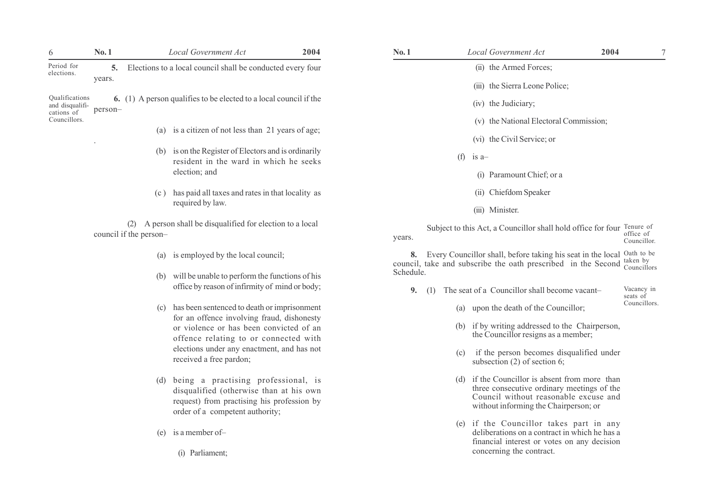| 6                                               | No.1    |                        | <b>Local Government Act</b>                                                                                                                                     | 2004 | No.1            |     | <b>Local Government Act</b>                                                                                                                                                    | 2004 | 7                                     |
|-------------------------------------------------|---------|------------------------|-----------------------------------------------------------------------------------------------------------------------------------------------------------------|------|-----------------|-----|--------------------------------------------------------------------------------------------------------------------------------------------------------------------------------|------|---------------------------------------|
| Period for<br>elections.                        | 5.      |                        | Elections to a local council shall be conducted every four                                                                                                      |      |                 |     | (ii) the Armed Forces;                                                                                                                                                         |      |                                       |
|                                                 | years.  |                        |                                                                                                                                                                 |      |                 |     | (iii) the Sierra Leone Police;                                                                                                                                                 |      |                                       |
| Qualifications<br>and disqualifi-<br>cations of | person- |                        | 6. (1) A person qualifies to be elected to a local council if the                                                                                               |      |                 |     | (iv) the Judiciary;                                                                                                                                                            |      |                                       |
| Councillors.                                    |         |                        |                                                                                                                                                                 |      |                 |     | (v) the National Electoral Commission;                                                                                                                                         |      |                                       |
|                                                 |         |                        | (a) is a citizen of not less than 21 years of age;                                                                                                              |      |                 |     | (vi) the Civil Service; or                                                                                                                                                     |      |                                       |
|                                                 |         |                        | (b) is on the Register of Electors and is ordinarily<br>resident in the ward in which he seeks                                                                  |      |                 | (f) | $is a-$                                                                                                                                                                        |      |                                       |
|                                                 |         |                        | election; and                                                                                                                                                   |      |                 |     | (i) Paramount Chief; or a                                                                                                                                                      |      |                                       |
|                                                 |         |                        | (c) has paid all taxes and rates in that locality as                                                                                                            |      |                 |     | (ii) Chiefdom Speaker                                                                                                                                                          |      |                                       |
|                                                 |         |                        | required by law.                                                                                                                                                |      |                 |     | (iii) Minister.                                                                                                                                                                |      |                                       |
|                                                 |         | council if the person- | (2) A person shall be disqualified for election to a local                                                                                                      |      | years.          |     | Subject to this Act, a Councillor shall hold office for four                                                                                                                   |      | Tenure of<br>office of<br>Councillor. |
|                                                 |         | (a)                    | is employed by the local council;                                                                                                                               |      | 8.<br>Schedule. |     | Every Councillor shall, before taking his seat in the local Oath to be<br>council, take and subscribe the oath prescribed in the Second                                        |      | taken by<br>Councillors               |
|                                                 |         | (b)                    | will be unable to perform the functions of his<br>office by reason of infirmity of mind or body;                                                                |      | 9.<br>(1)       |     | The seat of a Councillor shall become vacant-                                                                                                                                  |      | Vacancy in<br>seats of                |
|                                                 |         |                        | (c) has been sentenced to death or imprisonment                                                                                                                 |      |                 |     | (a) upon the death of the Councillor;                                                                                                                                          |      | Councillors.                          |
|                                                 |         |                        | for an offence involving fraud, dishonesty<br>or violence or has been convicted of an<br>offence relating to or connected with                                  |      |                 |     | (b) if by writing addressed to the Chairperson,<br>the Councillor resigns as a member;                                                                                         |      |                                       |
|                                                 |         |                        | elections under any enactment, and has not<br>received a free pardon;                                                                                           |      |                 | (c) | if the person becomes disqualified under<br>subsection $(2)$ of section 6;                                                                                                     |      |                                       |
|                                                 |         | (d)                    | being a practising professional, is<br>disqualified (otherwise than at his own<br>request) from practising his profession by<br>order of a competent authority; |      |                 |     | (d) if the Councillor is absent from more than<br>three consecutive ordinary meetings of the<br>Council without reasonable excuse and<br>without informing the Chairperson; or |      |                                       |
|                                                 |         | (e)                    | is a member of-                                                                                                                                                 |      |                 |     | (e) if the Councillor takes part in any<br>deliberations on a contract in which he has a<br>financial interest or votes on any decision                                        |      |                                       |
|                                                 |         |                        | (i) Parliament;                                                                                                                                                 |      |                 |     | concerning the contract.                                                                                                                                                       |      |                                       |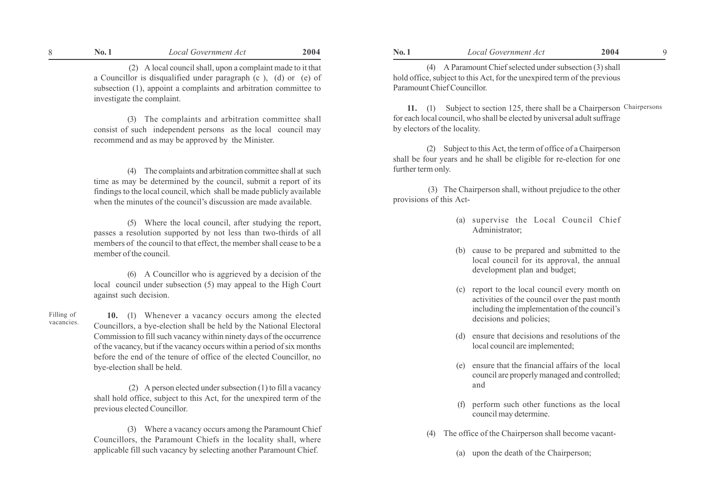(2) A local council shall, upon a complaint made to it that a Councillor is disqualified under paragraph (c ), (d) or (e) of subsection (1), appoint a complaints and arbitration committee to investigate the complaint.

(3) The complaints and arbitration committee shall consist of such independent persons as the local council may recommend and as may be approved by the Minister.

(4) The complaints and arbitration committee shall at such time as may be determined by the council, submit a report of its findings to the local council, which shall be made publicly available when the minutes of the council's discussion are made available.

(5) Where the local council, after studying the report, passes a resolution supported by not less than two-thirds of all members of the council to that effect, the member shall cease to be a member of the council.

(6) A Councillor who is aggrieved by a decision of the local council under subsection (5) may appeal to the High Court against such decision.

10. (1) Whenever a vacancy occurs among the elected Councillors, a bye-election shall be held by the National Electoral Commission to fill such vacancy within ninety days of the occurrence of the vacancy, but if the vacancy occurs within a period of six months before the end of the tenure of office of the elected Councillor, no bye-election shall be held.

Filling of vacancies.

> (2) A person elected under subsection (1) to fill a vacancy shall hold office, subject to this Act, for the unexpired term of the previous elected Councillor.

> (3) Where a vacancy occurs among the Paramount Chief Councillors, the Paramount Chiefs in the locality shall, where applicable fill such vacancy by selecting another Paramount Chief.

(4) A Paramount Chief selected under subsection (3) shall hold office, subject to this Act, for the unexpired term of the previous Paramount Chief Councillor.

11. (1) Subject to section 125, there shall be a Chairperson Chairpersonsfor each local council, who shall be elected by universal adult suffrage by electors of the locality.

(2) Subject to this Act, the term of office of a Chairperson shall be four years and he shall be eligible for re-election for one further term only.

 (3) The Chairperson shall, without prejudice to the other provisions of this Act-

- (a) supervise the Local Council Chief Administrator;
- (b) cause to be prepared and submitted to the local council for its approval, the annual development plan and budget;
- (c) report to the local council every month on activities of the council over the past month including the implementation of the council's decisions and policies;
- (d) ensure that decisions and resolutions of the local council are implemented;
- (e) ensure that the financial affairs of the local council are properly managed and controlled; and
- (f) perform such other functions as the local council may determine.
- The office of the Chairperson shall become vacant-
	- (a) upon the death of the Chairperson;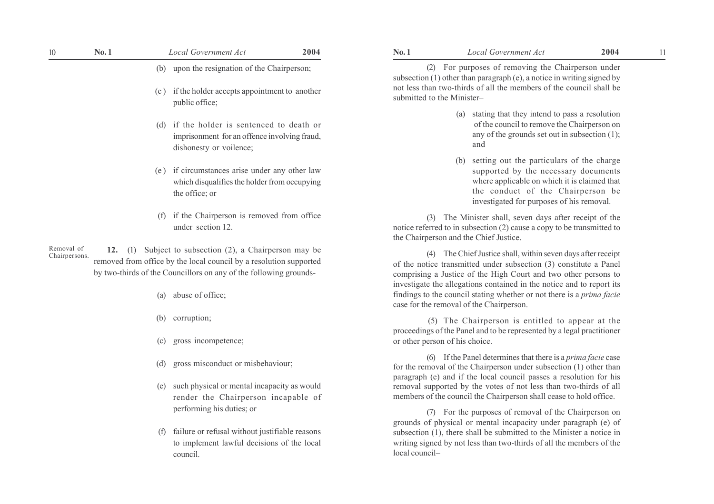| 10                          | No.1                                                                                                                     | <b>Local Government Act</b>                                                                                                                                                                | 2004 | No.1                                                                                                                                                                                                                                                                          | <b>Local Government Act</b>                                                                                                                                                                                                | 2004<br>11 |  |  |
|-----------------------------|--------------------------------------------------------------------------------------------------------------------------|--------------------------------------------------------------------------------------------------------------------------------------------------------------------------------------------|------|-------------------------------------------------------------------------------------------------------------------------------------------------------------------------------------------------------------------------------------------------------------------------------|----------------------------------------------------------------------------------------------------------------------------------------------------------------------------------------------------------------------------|------------|--|--|
|                             |                                                                                                                          | (b) upon the resignation of the Chairperson;                                                                                                                                               |      | (2) For purposes of removing the Chairperson under<br>subsection $(1)$ other than paragraph $(e)$ , a notice in writing signed by                                                                                                                                             |                                                                                                                                                                                                                            |            |  |  |
|                             | (c)                                                                                                                      | if the holder accepts appointment to another<br>public office;                                                                                                                             |      |                                                                                                                                                                                                                                                                               | not less than two-thirds of all the members of the council shall be<br>submitted to the Minister-                                                                                                                          |            |  |  |
|                             | if the holder is sentenced to death or<br>(d)<br>imprisonment for an offence involving fraud,<br>dishonesty or voilence; |                                                                                                                                                                                            |      |                                                                                                                                                                                                                                                                               | stating that they intend to pass a resolution<br>(a)<br>of the council to remove the Chairperson on<br>any of the grounds set out in subsection $(1)$ ;<br>and                                                             |            |  |  |
|                             | (e)                                                                                                                      | if circumstances arise under any other law<br>which disqualifies the holder from occupying<br>the office; or                                                                               |      |                                                                                                                                                                                                                                                                               | setting out the particulars of the charge<br>(b)<br>supported by the necessary documents<br>where applicable on which it is claimed that<br>the conduct of the Chairperson be<br>investigated for purposes of his removal. |            |  |  |
|                             | (f)                                                                                                                      | if the Chairperson is removed from office<br>under section 12.                                                                                                                             |      |                                                                                                                                                                                                                                                                               | (3) The Minister shall, seven days after receipt of the<br>notice referred to in subsection (2) cause a copy to be transmitted to<br>the Chairperson and the Chief Justice.                                                |            |  |  |
| Removal of<br>Chairpersons. | 12. $(1)$                                                                                                                | Subject to subsection (2), a Chairperson may be<br>removed from office by the local council by a resolution supported<br>by two-thirds of the Councillors on any of the following grounds- |      | (4) The Chief Justice shall, within seven days after receipt<br>of the notice transmitted under subsection (3) constitute a Panel<br>comprising a Justice of the High Court and two other persons to<br>investigate the allegations contained in the notice and to report its |                                                                                                                                                                                                                            |            |  |  |
|                             |                                                                                                                          | abuse of office;<br>(a)                                                                                                                                                                    |      |                                                                                                                                                                                                                                                                               | findings to the council stating whether or not there is a <i>prima facie</i><br>case for the removal of the Chairperson.                                                                                                   |            |  |  |
|                             | (b)                                                                                                                      | corruption;                                                                                                                                                                                |      |                                                                                                                                                                                                                                                                               | (5) The Chairperson is entitled to appear at the<br>proceedings of the Panel and to be represented by a legal practitioner                                                                                                 |            |  |  |
|                             | (c)                                                                                                                      | gross incompetence:                                                                                                                                                                        |      |                                                                                                                                                                                                                                                                               | or other person of his choice.                                                                                                                                                                                             |            |  |  |

- (d) gross misconduct or misbehaviour;
- (e) such physical or mental incapacity as would render the Chairperson incapable of performing his duties; or
- (f) failure or refusal without justifiable reasons to implement lawful decisions of the local council.

| No. 1 | Local Government Act | 2004 |
|-------|----------------------|------|
|       |                      |      |

- (a) stating that they intend to pass a resolution of the council to remove the Chairperson on any of the grounds set out in subsection (1); and
- (b) setting out the particulars of the charge supported by the necessary documents where applicable on which it is claimed that the conduct of the Chairperson be investigated for purposes of his removal.

 (5) The Chairperson is entitled to appear at the proceedings of the Panel and to be represented by a legal practitioner or other person of his choice.

(6) If the Panel determines that there is a prima facie case for the removal of the Chairperson under subsection (1) other than paragraph (e) and if the local council passes a resolution for his removal supported by the votes of not less than two-thirds of all members of the council the Chairperson shall cease to hold office.

(7) For the purposes of removal of the Chairperson on grounds of physical or mental incapacity under paragraph (e) of subsection (1), there shall be submitted to the Minister a notice in writing signed by not less than two-thirds of all the members of the  $local$  council $-$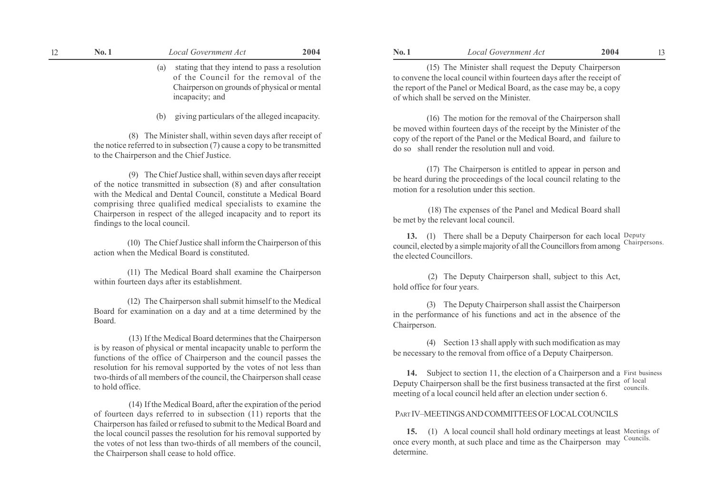| 12 | No.1            | <b>Local Government Act</b>                                                                                                                                                                                                                                                                                                                                                                              | 2004 | No.1                        | <b>Local Government Act</b>                                                                                                                                                                                                                                                                                                                                            | 2004      | 13 |
|----|-----------------|----------------------------------------------------------------------------------------------------------------------------------------------------------------------------------------------------------------------------------------------------------------------------------------------------------------------------------------------------------------------------------------------------------|------|-----------------------------|------------------------------------------------------------------------------------------------------------------------------------------------------------------------------------------------------------------------------------------------------------------------------------------------------------------------------------------------------------------------|-----------|----|
|    |                 | stating that they intend to pass a resolution<br>(a)<br>of the Council for the removal of the<br>Chairperson on grounds of physical or mental<br>incapacity; and                                                                                                                                                                                                                                         |      |                             | (15) The Minister shall request the Deputy Chairperson<br>to convene the local council within fourteen days after the receipt of<br>the report of the Panel or Medical Board, as the case may be, a copy<br>of which shall be served on the Minister.                                                                                                                  |           |    |
|    |                 | giving particulars of the alleged incapacity.<br>(b)<br>(8) The Minister shall, within seven days after receipt of<br>the notice referred to in subsection $(7)$ cause a copy to be transmitted<br>to the Chairperson and the Chief Justice.                                                                                                                                                             |      |                             | (16) The motion for the removal of the Chairperson shall<br>be moved within fourteen days of the receipt by the Minister of the<br>copy of the report of the Panel or the Medical Board, and failure to<br>do so shall render the resolution null and void.                                                                                                            |           |    |
|    |                 | (9) The Chief Justice shall, within seven days after receipt<br>of the notice transmitted in subsection (8) and after consultation<br>with the Medical and Dental Council, constitute a Medical Board<br>comprising three qualified medical specialists to examine the<br>Chairperson in respect of the alleged incapacity and to report its<br>findings to the local council.                           |      |                             | (17) The Chairperson is entitled to appear in person and<br>be heard during the proceedings of the local council relating to the<br>motion for a resolution under this section.<br>(18) The expenses of the Panel and Medical Board shall<br>be met by the relevant local council.                                                                                     |           |    |
|    |                 | (10) The Chief Justice shall inform the Chairperson of this<br>action when the Medical Board is constituted.                                                                                                                                                                                                                                                                                             |      | the elected Councillors.    | 13. (1) There shall be a Deputy Chairperson for each local Deputy<br>council, elected by a simple majority of all the Councillors from among Chairpersons.                                                                                                                                                                                                             |           |    |
|    |                 | (11) The Medical Board shall examine the Chairperson<br>within fourteen days after its establishment.                                                                                                                                                                                                                                                                                                    |      | hold office for four years. | (2) The Deputy Chairperson shall, subject to this Act,                                                                                                                                                                                                                                                                                                                 |           |    |
|    | Board.          | (12) The Chairperson shall submit himself to the Medical<br>Board for examination on a day and at a time determined by the                                                                                                                                                                                                                                                                               |      | Chairperson.                | (3) The Deputy Chairperson shall assist the Chairperson<br>in the performance of his functions and act in the absence of the                                                                                                                                                                                                                                           |           |    |
|    | to hold office. | (13) If the Medical Board determines that the Chairperson<br>is by reason of physical or mental incapacity unable to perform the<br>functions of the office of Chairperson and the council passes the<br>resolution for his removal supported by the votes of not less than<br>two-thirds of all members of the council, the Chairperson shall cease                                                     |      |                             | (4) Section 13 shall apply with such modification as may<br>be necessary to the removal from office of a Deputy Chairperson.<br>14. Subject to section 11, the election of a Chairperson and a First business<br>Deputy Chairperson shall be the first business transacted at the first of local<br>meeting of a local council held after an election under section 6. | councils. |    |
|    |                 | (14) If the Medical Board, after the expiration of the period<br>of fourteen days referred to in subsection (11) reports that the<br>Chairperson has failed or refused to submit to the Medical Board and<br>the local council passes the resolution for his removal supported by<br>the votes of not less than two-thirds of all members of the council,<br>the Chairperson shall cease to hold office. |      | 15.<br>determine.           | PART IV-MEETINGS AND COMMITTEES OF LOCAL COUNCILS<br>(1) A local council shall hold ordinary meetings at least Meetings of<br>once every month, at such place and time as the Chairperson may                                                                                                                                                                          | Councils. |    |

#### PART IV-MEETINGS AND COMMITTEES OF LOCAL COUNCILS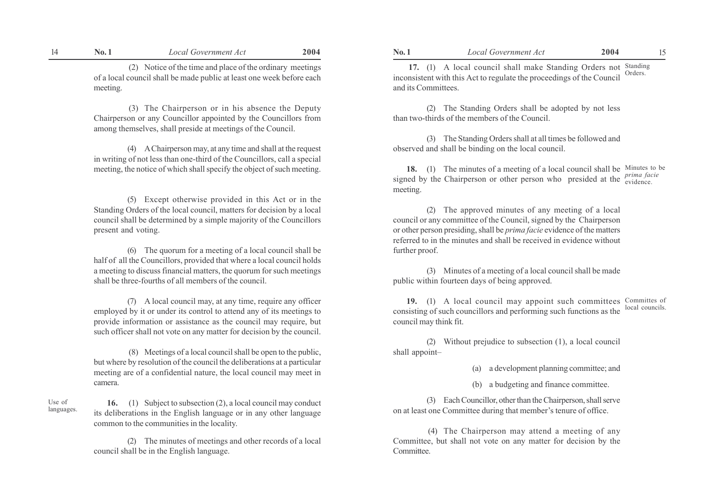(2) Notice of the time and place of the ordinary meetings of a local council shall be made public at least one week before each meeting.

 (3) The Chairperson or in his absence the Deputy Chairperson or any Councillor appointed by the Councillors from among themselves, shall preside at meetings of the Council.

(4) A Chairperson may, at any time and shall at the request in writing of not less than one-third of the Councillors, call a special meeting, the notice of which shall specify the object of such meeting.

(5) Except otherwise provided in this Act or in the Standing Orders of the local council, matters for decision by a local council shall be determined by a simple majority of the Councillors present and voting.

(6) The quorum for a meeting of a local council shall be half of all the Councillors, provided that where a local council holds a meeting to discuss financial matters, the quorum for such meetings shall be three-fourths of all members of the council.

(7) A local council may, at any time, require any officer employed by it or under its control to attend any of its meetings to provide information or assistance as the council may require, but such officer shall not vote on any matter for decision by the council.

 (8) Meetings of a local council shall be open to the public, but where by resolution of the council the deliberations at a particular meeting are of a confidential nature, the local council may meet in camera.

16. (1) Subject to subsection (2), a local council may conduct its deliberations in the English language or in any other language common to the communities in the locality.

Use of languages.

> (2) The minutes of meetings and other records of a local council shall be in the English language.

 17. (1) A local council shall make Standing Orders not Standing inconsistent with this Act to regulate the proceedings of the Council and its Committees. Orders.

(2) The Standing Orders shall be adopted by not less than two-thirds of the members of the Council.

(3) The Standing Orders shall at all times be followed and observed and shall be binding on the local council.

18. (1) The minutes of a meeting of a local council shall be Minutes to be signed by the Chairperson or other person who presided at the  $\frac{prima facile}{evidence}$ . meeting.

(2) The approved minutes of any meeting of a local council or any committee of the Council, signed by the Chairperson or other person presiding, shall be prima facie evidence of the matters referred to in the minutes and shall be received in evidence without further proof.

(3) Minutes of a meeting of a local council shall be made public within fourteen days of being approved.

19. (1) A local council may appoint such committees Committes of consisting of such councillors and performing such functions as the local councils. council may think fit.

(2) Without prejudice to subsection (1), a local council shall appoint-

(a) a development planning committee; and

(b) a budgeting and finance committee.

(3) Each Councillor, other than the Chairperson, shall serve on at least one Committee during that member's tenure of office.

 (4) The Chairperson may attend a meeting of any Committee, but shall not vote on any matter for decision by the Committee.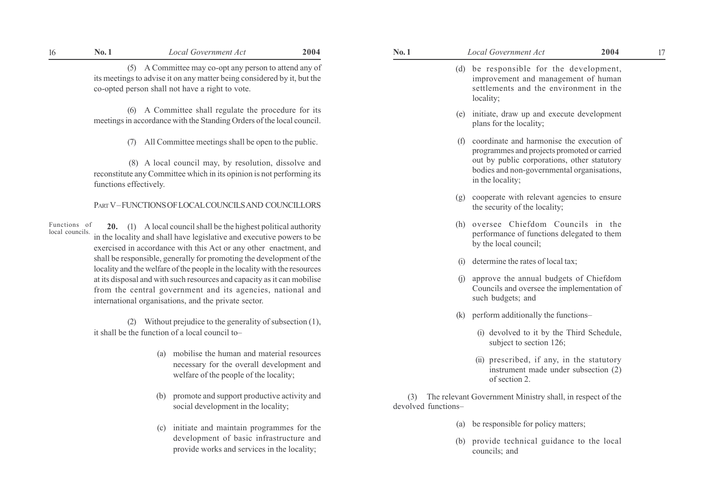# 16 No. 1 17 Local Government Act 17 2004 17 No. 1 No. 1 Local Government Act 17 2004 17

(5) A Committee may co-opt any person to attend any of its meetings to advise it on any matter being considered by it, but the co-opted person shall not have a right to vote.

(6) A Committee shall regulate the procedure for its meetings in accordance with the Standing Orders of the local council.

(7) All Committee meetings shall be open to the public.

 (8) A local council may, by resolution, dissolve and reconstitute any Committee which in its opinion is not performing its functions effectively.

PART V-FUNCTIONS OF LOCAL COUNCILS AND COUNCILLORS

20. (1) A local council shall be the highest political authority in the locality and shall have legislative and executive powers to be exercised in accordance with this Act or any other enactment, and shall be responsible, generally for promoting the development of the locality and the welfare of the people in the locality with the resources at its disposal and with such resources and capacity as it can mobilise from the central government and its agencies, national and international organisations, and the private sector. Functions of local councils.

> (2) Without prejudice to the generality of subsection (1), it shall be the function of a local council to $-$

- (a) mobilise the human and material resources necessary for the overall development and welfare of the people of the locality;
- (b) promote and support productive activity and social development in the locality;
- (c) initiate and maintain programmes for the development of basic infrastructure and provide works and services in the locality;
- - (d) be responsible for the development, improvement and management of human settlements and the environment in the locality;
	- (e) initiate, draw up and execute development plans for the locality;
	- (f) coordinate and harmonise the execution of programmes and projects promoted or carried out by public corporations, other statutory bodies and non-governmental organisations, in the locality;
	- (g) cooperate with relevant agencies to ensure the security of the locality;
	- (h) oversee Chiefdom Councils in the performance of functions delegated to them by the local council;
	- (i) determine the rates of local tax;
	- (j) approve the annual budgets of Chiefdom Councils and oversee the implementation of such budgets; and
	- $(k)$  perform additionally the functions-
		- (i) devolved to it by the Third Schedule, subject to section 126;
		- (ii) prescribed, if any, in the statutory instrument made under subsection (2) of section 2.

 (3) The relevant Government Ministry shall, in respect of the devolved functions-

- (a) be responsible for policy matters;
- (b) provide technical guidance to the local councils; and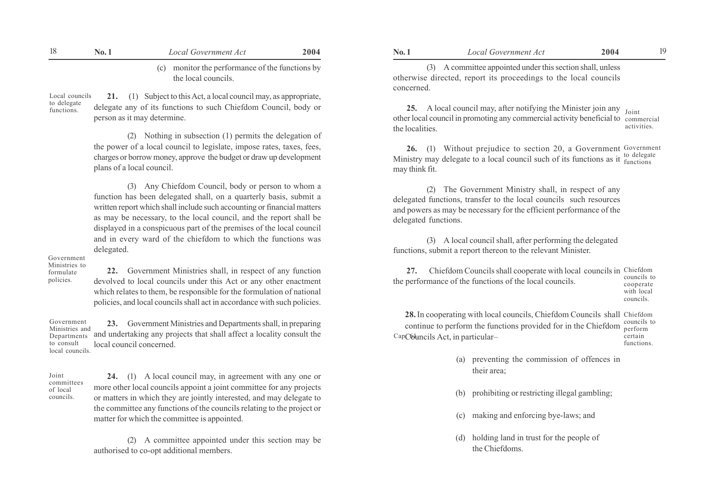| No. 1 | Local Government Act                                                   | 2004 | <b>No. 1</b> | Local Government Act                                                                                                           | 2004 |  |
|-------|------------------------------------------------------------------------|------|--------------|--------------------------------------------------------------------------------------------------------------------------------|------|--|
|       | (c) monitor the performance of the functions by<br>the local councils. |      | concerned.   | (3) A committee appointed under this section shall, unless<br>otherwise directed, report its proceedings to the local councils |      |  |

21. (1) Subject to this Act, a local council may, as appropriate, delegate any of its functions to such Chiefdom Council, body or person as it may determine. Local councils to delegate functions.

> (2) Nothing in subsection (1) permits the delegation of the power of a local council to legislate, impose rates, taxes, fees, charges or borrow money, approve the budget or draw up development plans of a local council.

> (3) Any Chiefdom Council, body or person to whom a function has been delegated shall, on a quarterly basis, submit a written report which shall include such accounting or financial matters as may be necessary, to the local council, and the report shall be displayed in a conspicuous part of the premises of the local council and in every ward of the chiefdom to which the functions was delegated.

#### Government Ministries to

formulate policies.

22. Government Ministries shall, in respect of any function devolved to local councils under this Act or any other enactment which relates to them, be responsible for the formulation of national policies, and local councils shall act in accordance with such policies.

23. Government Ministries and Departments shall, in preparing and undertaking any projects that shall affect a locality consult the local council concerned. Government Ministries and Departments to consult local councils.

Joint committees of local councils.

24. (1) A local council may, in agreement with any one or more other local councils appoint a joint committee for any projects or matters in which they are jointly interested, and may delegate to the committee any functions of the councils relating to the project or matter for which the committee is appointed.

(2) A committee appointed under this section may be authorised to co-opt additional members.

**25.** A local council may, after notifying the Minister join any  $\frac{1}{\text{Joint}}$ other local council in promoting any commercial activity beneficial to commercial the localities. activities.

26. (1) Without prejudice to section 20, a Government Government Ministry may delegate to a local council such of its functions as it  $_{\text{functions}}^{\text{to delegate}}$ may think fit.

(2) The Government Ministry shall, in respect of any delegated functions, transfer to the local councils such resources and powers as may be necessary for the efficient performance of the delegated functions.

(3) A local council shall, after performing the delegated functions, submit a report thereon to the relevant Minister.

27. Chiefdom Councils shall cooperate with local councils in Chiefdom the performance of the functions of the local councils. councils to cooperate with local councils.

28.In cooperating with local councils, Chiefdom Councils shall Chiefdom continue to perform the functions provided for in the Chiefdom CapC6 uncils Act, in particular– perform certain

councils to functions.

- (a) preventing the commission of offences in their area;
- prohibiting or restricting illegal gambling;
- (c) making and enforcing bye-laws; and
- (d) holding land in trust for the people of the Chiefdoms.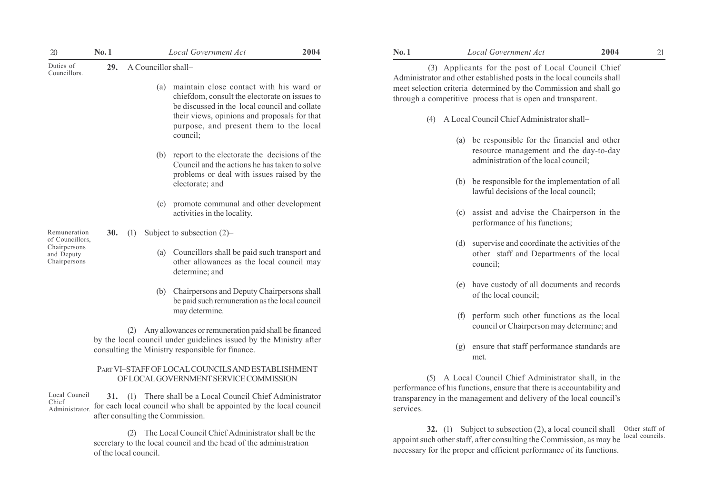| 20                                                            | No.1                                                                                                                   |     | Local Government Act                                                                                                                           | 2004 | No.1     | Local Government Act                                                                                                                                                                                      | 2004<br>21 |
|---------------------------------------------------------------|------------------------------------------------------------------------------------------------------------------------|-----|------------------------------------------------------------------------------------------------------------------------------------------------|------|----------|-----------------------------------------------------------------------------------------------------------------------------------------------------------------------------------------------------------|------------|
| Duties of<br>Councillors.                                     | 29.                                                                                                                    |     | A Councillor shall-                                                                                                                            |      |          | (3) Applicants for the post of Local Council Chief                                                                                                                                                        |            |
|                                                               |                                                                                                                        |     | (a) maintain close contact with his ward or<br>chiefdom, consult the electorate on issues to<br>be discussed in the local council and collate  |      |          | Administrator and other established posts in the local councils shall<br>meet selection criteria determined by the Commission and shall go<br>through a competitive process that is open and transparent. |            |
|                                                               |                                                                                                                        |     | their views, opinions and proposals for that<br>purpose, and present them to the local                                                         |      | (4)      | A Local Council Chief Administrator shall-                                                                                                                                                                |            |
|                                                               |                                                                                                                        |     | council;                                                                                                                                       |      |          | be responsible for the financial and other<br>(a)                                                                                                                                                         |            |
|                                                               |                                                                                                                        |     | (b) report to the electorate the decisions of the<br>Council and the actions he has taken to solve                                             |      |          | resource management and the day-to-day<br>administration of the local council;                                                                                                                            |            |
|                                                               |                                                                                                                        |     | problems or deal with issues raised by the<br>electorate; and                                                                                  |      |          | be responsible for the implementation of all<br>(b)<br>lawful decisions of the local council;                                                                                                             |            |
|                                                               |                                                                                                                        | (c) | promote communal and other development<br>activities in the locality.                                                                          |      |          | assist and advise the Chairperson in the<br>(c)<br>performance of his functions;                                                                                                                          |            |
| Remuneration                                                  | <b>30.</b>                                                                                                             | (1) | Subject to subsection $(2)$ -                                                                                                                  |      |          |                                                                                                                                                                                                           |            |
| of Councillors,<br>Chairpersons<br>and Deputy<br>Chairpersons |                                                                                                                        | (a) | Councillors shall be paid such transport and<br>other allowances as the local council may<br>determine; and                                    |      |          | (d) supervise and coordinate the activities of the<br>other staff and Departments of the local<br>council;                                                                                                |            |
|                                                               |                                                                                                                        | (b) | Chairpersons and Deputy Chairpersons shall<br>be paid such remuneration as the local council                                                   |      |          | have custody of all documents and records<br>(e)<br>of the local council;                                                                                                                                 |            |
|                                                               |                                                                                                                        |     | may determine.                                                                                                                                 |      |          | perform such other functions as the local<br>(f)                                                                                                                                                          |            |
|                                                               |                                                                                                                        |     | (2) Any allowances or remuneration paid shall be financed                                                                                      |      |          | council or Chairperson may determine; and                                                                                                                                                                 |            |
|                                                               | by the local council under guidelines issued by the Ministry after<br>consulting the Ministry responsible for finance. |     |                                                                                                                                                |      |          | ensure that staff performance standards are<br>(g)<br>met.                                                                                                                                                |            |
|                                                               | PART VI-STAFF OF LOCAL COUNCILS AND ESTABLISHMENT                                                                      |     |                                                                                                                                                |      |          |                                                                                                                                                                                                           |            |
|                                                               |                                                                                                                        |     | OF LOCAL GOVERNMENT SERVICE COMMISSION                                                                                                         |      |          | A Local Council Chief Administrator shall, in the                                                                                                                                                         |            |
| Local Council<br>Chief                                        |                                                                                                                        |     | 31. (1) There shall be a Local Council Chief Administrator<br>Administrator for each local council who shall be appointed by the local council |      | services | performance of his functions, ensure that there is accountability and<br>transparency in the management and delivery of the local council's                                                               |            |

(2) The Local Council Chief Administrator shall be the secretary to the local council and the head of the administration of the local council.

after consulting the Commission.

Administrator.

| No.1             |     | <b>Local Government Act</b>                                                                                                                                                                                                                                     | 2004 |
|------------------|-----|-----------------------------------------------------------------------------------------------------------------------------------------------------------------------------------------------------------------------------------------------------------------|------|
|                  |     | (3) Applicants for the post of Local Council Chief<br>Administrator and other established posts in the local councils shall<br>meet selection criteria determined by the Commission and shall go<br>through a competitive process that is open and transparent. |      |
| (4)              |     | A Local Council Chief Administrator shall-                                                                                                                                                                                                                      |      |
|                  | (a) | be responsible for the financial and other<br>resource management and the day-to-day<br>administration of the local council;                                                                                                                                    |      |
|                  | (b) | be responsible for the implementation of all<br>lawful decisions of the local council;                                                                                                                                                                          |      |
|                  | (c) | assist and advise the Chairperson in the<br>performance of his functions;                                                                                                                                                                                       |      |
|                  | (d) | supervise and coordinate the activities of the<br>other staff and Departments of the local<br>council;                                                                                                                                                          |      |
|                  | (e) | have custody of all documents and records<br>of the local council;                                                                                                                                                                                              |      |
|                  | (f) | perform such other functions as the local<br>council or Chairperson may determine; and                                                                                                                                                                          |      |
|                  | (g) | ensure that staff performance standards are<br>met                                                                                                                                                                                                              |      |
| (5)<br>services. |     | A Local Council Chief Administrator shall, in the<br>performance of his functions, ensure that there is accountability and<br>transparency in the management and delivery of the local council's                                                                |      |

32. (1) Subject to subsection (2), a local council shall Other staff of appoint such other staff, after consulting the Commission, as may be necessary for the proper and efficient performance of its functions. local councils.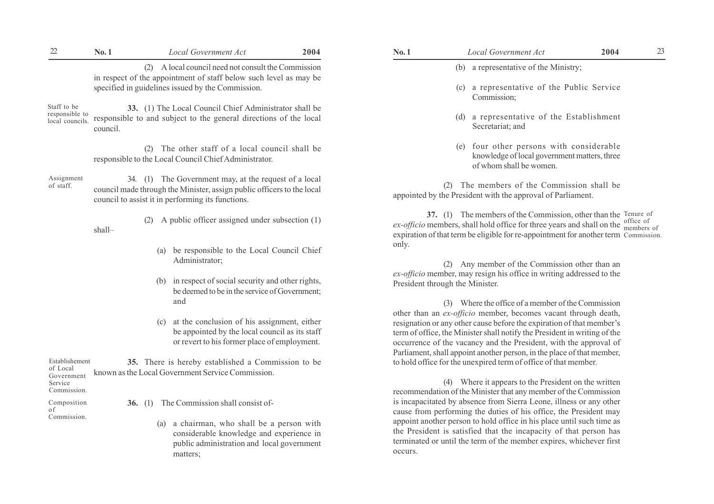| $22\,$                                                      | No.1      | <b>Local Government Act</b>                                                                                                                                                          | 2004 | No.1    | Local Government Act                                                                                                                                                                                                                                                                                                                                                | 2004 | 23 |
|-------------------------------------------------------------|-----------|--------------------------------------------------------------------------------------------------------------------------------------------------------------------------------------|------|---------|---------------------------------------------------------------------------------------------------------------------------------------------------------------------------------------------------------------------------------------------------------------------------------------------------------------------------------------------------------------------|------|----|
|                                                             |           | (2) A local council need not consult the Commission<br>in respect of the appointment of staff below such level as may be                                                             |      |         | (b) a representative of the Ministry;                                                                                                                                                                                                                                                                                                                               |      |    |
|                                                             |           | specified in guidelines issued by the Commission.                                                                                                                                    |      |         | (c) a representative of the Public Service<br>Commission;                                                                                                                                                                                                                                                                                                           |      |    |
| Staff to be<br>responsible to<br>local councils.            | council.  | 33. (1) The Local Council Chief Administrator shall be<br>responsible to and subject to the general directions of the local                                                          |      |         | (d) a representative of the Establishment<br>Secretariat; and                                                                                                                                                                                                                                                                                                       |      |    |
|                                                             |           | (2) The other staff of a local council shall be<br>responsible to the Local Council Chief Administrator.                                                                             |      |         | four other persons with considerable<br>(e)<br>knowledge of local government matters, three<br>of whom shall be women.                                                                                                                                                                                                                                              |      |    |
| Assignment<br>of staff.                                     |           | 34. (1) The Government may, at the request of a local<br>council made through the Minister, assign public officers to the local<br>council to assist it in performing its functions. |      |         | (2) The members of the Commission shall be<br>appointed by the President with the approval of Parliament.                                                                                                                                                                                                                                                           |      |    |
|                                                             | shall-    | (2) A public officer assigned under subsection (1)                                                                                                                                   |      |         | 37. (1) The members of the Commission, other than the Tenure of<br>ex-officio members, shall hold office for three years and shall on the members of<br>expiration of that term be eligible for re-appointment for another term Commission.                                                                                                                         |      |    |
|                                                             |           | be responsible to the Local Council Chief<br>(a)<br>Administrator;                                                                                                                   |      | only.   | (2) Any member of the Commission other than an                                                                                                                                                                                                                                                                                                                      |      |    |
|                                                             |           | in respect of social security and other rights,<br>(b)<br>be deemed to be in the service of Government;<br>and                                                                       |      |         | ex-officio member, may resign his office in writing addressed to the<br>President through the Minister.<br>(3) Where the office of a member of the Commission                                                                                                                                                                                                       |      |    |
|                                                             |           | at the conclusion of his assignment, either<br>(c)<br>be appointed by the local council as its staff<br>or revert to his former place of employment.                                 |      |         | other than an ex-officio member, becomes vacant through death,<br>resignation or any other cause before the expiration of that member's<br>term of office, the Minister shall notify the President in writing of the<br>occurrence of the vacancy and the President, with the approval of<br>Parliament, shall appoint another person, in the place of that member, |      |    |
| Establishement<br>of Local<br>Government                    |           | 35. There is hereby established a Commission to be<br>known as the Local Government Service Commission.                                                                              |      |         | to hold office for the unexpired term of office of that member.<br>(4) Where it appears to the President on the written                                                                                                                                                                                                                                             |      |    |
| Service<br>Commission.<br>Composition<br>0 f<br>Commission. | 36. $(1)$ | The Commission shall consist of-                                                                                                                                                     |      |         | recommendation of the Minister that any member of the Commission<br>is incapacitated by absence from Sierra Leone, illness or any other<br>cause from performing the duties of his office, the President may                                                                                                                                                        |      |    |
|                                                             |           | a chairman, who shall be a person with<br>(a)<br>considerable knowledge and experience in<br>public administration and local government<br>matters;                                  |      | occurs. | appoint another person to hold office in his place until such time as<br>the President is satisfied that the incapacity of that person has<br>terminated or until the term of the member expires, whichever first                                                                                                                                                   |      |    |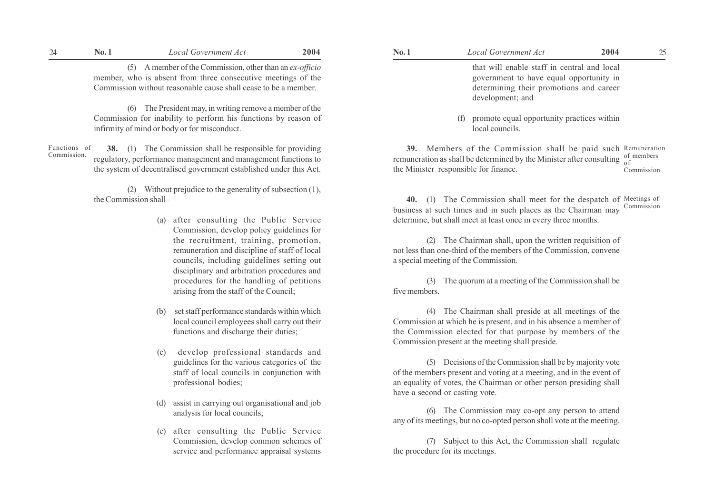(5) A member of the Commission, other than an ex-officio member, who is absent from three consecutive meetings of the Commission without reasonable cause shall cease to be a member.

(6) The President may, in writing remove a member of the Commission for inability to perform his functions by reason of infirmity of mind or body or for misconduct.

38. (1) The Commission shall be responsible for providing regulatory, performance management and management functions to the system of decentralised government established under this Act. Functions of Commission.

> (2) Without prejudice to the generality of subsection (1), the Commission shall–

- (a) after consulting the Public Service Commission, develop policy guidelines for the recruitment, training, promotion, remuneration and discipline of staff of local councils, including guidelines setting out disciplinary and arbitration procedures and procedures for the handling of petitions arising from the staff of the Council;
- (b) set staff performance standards within which local council employees shall carry out their functions and discharge their duties;
- (c) develop professional standards and guidelines for the various categories of the staff of local councils in conjunction with professional bodies;
- (d) assist in carrying out organisational and job analysis for local councils;
- (e) after consulting the Public Service Commission, develop common schemes of service and performance appraisal systems

| Vo. 1 | Local Government Act                        | 2004 |  |
|-------|---------------------------------------------|------|--|
|       | that will enable staff in central and local |      |  |
|       | government to have equal opportunity in     |      |  |
|       | determining their promotions and career     |      |  |
|       | development; and                            |      |  |

(f) promote equal opportunity practices within local councils.

39. Members of the Commission shall be paid such Remuneration remuneration as shall be determined by the Minister after consulting  $\frac{0}{0}$  of members the Minister responsible for finance. of Commission.

40. (1) The Commission shall meet for the despatch of Meetings of business at such times and in such places as the Chairman may determine, but shall meet at least once in every three months. Commission.

(2) The Chairman shall, upon the written requisition of not less than one-third of the members of the Commission, convene a special meeting of the Commission.

(3) The quorum at a meeting of the Commission shall be five members.

(4) The Chairman shall preside at all meetings of the Commission at which he is present, and in his absence a member of the Commission elected for that purpose by members of the Commission present at the meeting shall preside.

(5) Decisions of the Commission shall be by majority vote of the members present and voting at a meeting, and in the event of an equality of votes, the Chairman or other person presiding shall have a second or casting vote.

(6) The Commission may co-opt any person to attend any of its meetings, but no co-opted person shall vote at the meeting.

(7) Subject to this Act, the Commission shall regulate the procedure for its meetings.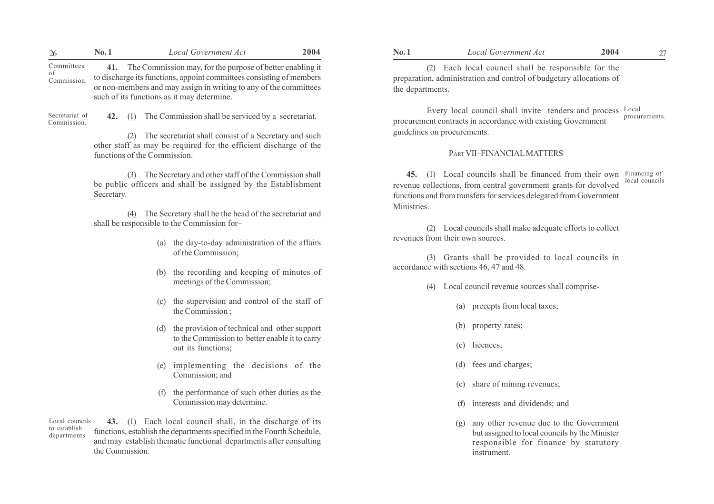to discharge its functions, appoint committees consisting of members or non-members and may assign in writing to any of the committees such of its functions as it may determine. Commission.

Secretariat of Commission.

42. (1) The Commission shall be serviced by a secretariat.

(2) The secretariat shall consist of a Secretary and such other staff as may be required for the efficient discharge of the functions of the Commission.

(3) The Secretary and other staff of the Commission shall be public officers and shall be assigned by the Establishment Secretary.

(4) The Secretary shall be the head of the secretariat and shall be responsible to the Commission for-

- (a) the day-to-day administration of the affairs of the Commission;
- (b) the recording and keeping of minutes of meetings of the Commission;
- (c) the supervision and control of the staff of the Commission ;
- (d) the provision of technical and other support to the Commission to better enable it to carry out its functions;
- (e) implementing the decisions of the Commission; and
- (f) the performance of such other duties as the Commission may determine.

43. (1) Each local council shall, in the discharge of its functions, establish the departments specified in the Fourth Schedule, and may establish thematic functional departments after consulting the Commission. Local councils to establish departments

(2) Each local council shall be responsible for the preparation, administration and control of budgetary allocations of the departments.

Every local council shall invite tenders and process Local procurement contracts in accordance with existing Government guidelines on procurements. procurements.

# PART VII-FINANCIAL MATTERS

45. (1) Local councils shall be financed from their own Financing of revenue collections, from central government grants for devolved functions and from transfers for services delegated from Government **Ministries** local councils

(2) Local councils shall make adequate efforts to collect revenues from their own sources.

(3) Grants shall be provided to local councils in accordance with sections 46, 47 and 48.

- (4) Local council revenue sources shall comprise-
	- (a) precepts from local taxes;
	- (b) property rates;
	- (c) licences;
	- (d) fees and charges;
	- share of mining revenues;
	- interests and dividends; and
	- (g) any other revenue due to the Government but assigned to local councils by the Minister responsible for finance by statutory instrument.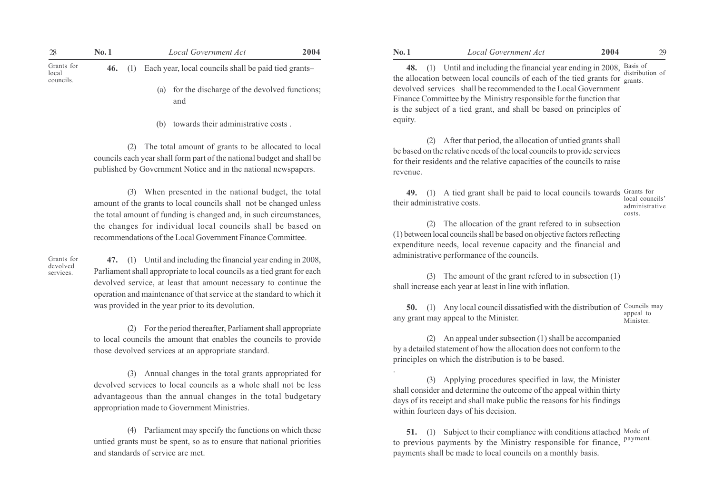|                                  | No. 1 |           | Local Government Act                                    | 2004 | No.1 | Local Government Act                                                                                                                                                    | 2004 | 29 |
|----------------------------------|-------|-----------|---------------------------------------------------------|------|------|-------------------------------------------------------------------------------------------------------------------------------------------------------------------------|------|----|
| Grants for<br>local<br>councils. |       | 46. $(l)$ | Each year, local councils shall be paid tied grants-    |      |      | 48. (1) Until and including the financial year ending in 2008, Basis of distribution of<br>the allocation between local councils of each of the tied grants for grants. |      |    |
|                                  |       |           | (a) for the discharge of the devolved functions;<br>and |      |      | devolved services shall be recommended to the Local Government<br>Finance Committee by the Ministry responsible for the function that                                   |      |    |

(b) towards their administrative costs .

(2) The total amount of grants to be allocated to local councils each year shall form part of the national budget and shall be published by Government Notice and in the national newspapers.

(3) When presented in the national budget, the total amount of the grants to local councils shall not be changed unless the total amount of funding is changed and, in such circumstances, the changes for individual local councils shall be based on recommendations of the Local Government Finance Committee.

Grants for devolved services.

47. (1) Until and including the financial year ending in 2008, Parliament shall appropriate to local councils as a tied grant for each devolved service, at least that amount necessary to continue the operation and maintenance of that service at the standard to which it was provided in the year prior to its devolution.

(2) For the period thereafter, Parliament shall appropriate to local councils the amount that enables the councils to provide those devolved services at an appropriate standard.

(3) Annual changes in the total grants appropriated for devolved services to local councils as a whole shall not be less advantageous than the annual changes in the total budgetary appropriation made to Government Ministries.

(4) Parliament may specify the functions on which these untied grants must be spent, so as to ensure that national priorities and standards of service are met.

48. (1) Until and including the financial year ending in 2008, Basis of the allocation between local councils of each of the tied grants for  $\frac{d}{s}$  grants. devolved services shall be recommended to the Local Government Finance Committee by the Ministry responsible for the function that is the subject of a tied grant, and shall be based on principles of equity. distribution of

(2) After that period, the allocation of untied grants shall be based on the relative needs of the local councils to provide services for their residents and the relative capacities of the councils to raise revenue.

49. (1) A tied grant shall be paid to local councils towards Grants for their administrative costs. local councils' administrative

costs.

(2) The allocation of the grant refered to in subsection (1) between local councils shall be based on objective factors reflecting expenditure needs, local revenue capacity and the financial and administrative performance of the councils.

(3) The amount of the grant refered to in subsection (1) shall increase each year at least in line with inflation.

50. (1) Any local council dissatisfied with the distribution of Councils may any grant may appeal to the Minister. appeal to Minister.

(2) An appeal under subsection (1) shall be accompanied by a detailed statement of how the allocation does not conform to the principles on which the distribution is to be based.

.

(3) Applying procedures specified in law, the Minister shall consider and determine the outcome of the appeal within thirty days of its receipt and shall make public the reasons for his findings within fourteen days of his decision.

**51.** (1) Subject to their compliance with conditions attached Mode of to previous payments by the Ministry responsible for finance, <sup>payment.</sup> payments shall be made to local councils on a monthly basis.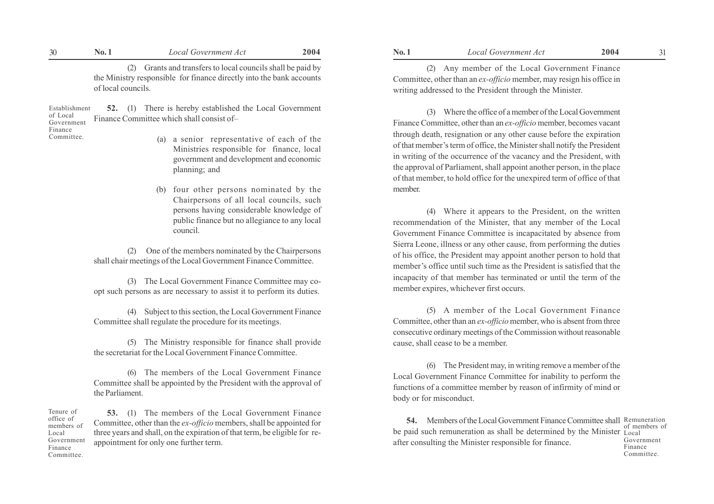| 30 | NO. | ocal.<br>l Government Act                          | 2004 | $N_{0.}$ | ernment/<br>: AC                                            | 2004    | ັ |
|----|-----|----------------------------------------------------|------|----------|-------------------------------------------------------------|---------|---|
|    |     | s and transfers to local councils shall be paid by |      |          | Local<br>Government<br>the<br>member<br>Anr<br>- OT<br>2.11 | Finance |   |

the Ministry responsible for finance directly into the bank accounts of local councils.

52. (1) There is hereby established the Local Government Finance Committee which shall consist of Establishment of Local Government Finance

Committee.

Local

- (a) a senior representative of each of the Ministries responsible for finance, local government and development and economic planning; and
- (b) four other persons nominated by the Chairpersons of all local councils, such persons having considerable knowledge of public finance but no allegiance to any local council.

(2) One of the members nominated by the Chairpersons shall chair meetings of the Local Government Finance Committee.

(3) The Local Government Finance Committee may coopt such persons as are necessary to assist it to perform its duties.

(4) Subject to this section, the Local Government Finance Committee shall regulate the procedure for its meetings.

(5) The Ministry responsible for finance shall provide the secretariat for the Local Government Finance Committee.

(6) The members of the Local Government Finance Committee shall be appointed by the President with the approval of the Parliament.

53. (1) The members of the Local Government Finance Committee, other than the ex-officio members, shall be appointed for three years and shall, on the expiration of that term, be eligible for reappointment for only one further term. Tenure of office of members of Government Finance Committee.

(2) Any member of the Local Government Finance Committee, other than an ex-officio member, may resign his office in writing addressed to the President through the Minister.

(3) Where the office of a member of the Local Government Finance Committee, other than an ex-officio member, becomes vacant through death, resignation or any other cause before the expiration of that member's term of office, the Minister shall notify the President in writing of the occurrence of the vacancy and the President, with the approval of Parliament, shall appoint another person, in the place of that member, to hold office for the unexpired term of office of that member.

(4) Where it appears to the President, on the written recommendation of the Minister, that any member of the Local Government Finance Committee is incapacitated by absence from Sierra Leone, illness or any other cause, from performing the duties of his office, the President may appoint another person to hold that member's office until such time as the President is satisfied that the incapacity of that member has terminated or until the term of the member expires, whichever first occurs.

(5) A member of the Local Government Finance Committee, other than an ex-officio member, who is absent from three consecutive ordinary meetings of the Commission without reasonable cause, shall cease to be a member.

(6) The President may, in writing remove a member of the Local Government Finance Committee for inability to perform the functions of a committee member by reason of infirmity of mind or body or for misconduct.

54. Members of the Local Government Finance Committee shall Remuneration be paid such remuneration as shall be determined by the Minister Local after consulting the Minister responsible for finance. Finance

of members of Government Committee.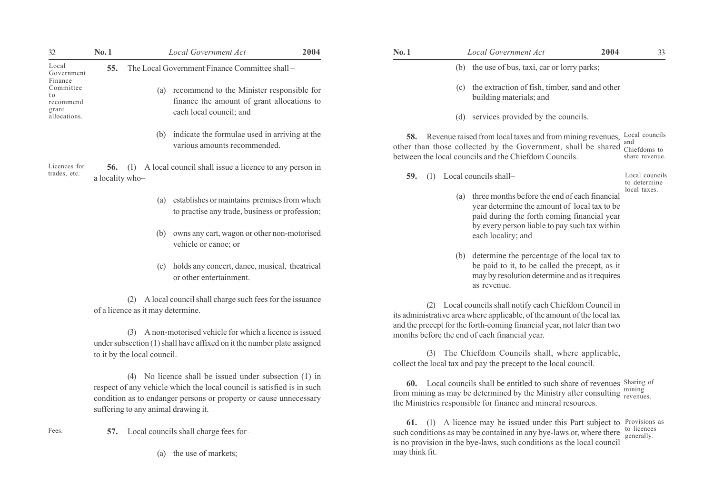| 32                                       | No.1                                                                                                                                                                                                                                                                                                                                                   |                                   | Local Government Act                                                                        | 2004 | No.1           |                                                                                                                                              | Local Government Act                                                                                                                                                                                                     | 2004                         | 33                        |
|------------------------------------------|--------------------------------------------------------------------------------------------------------------------------------------------------------------------------------------------------------------------------------------------------------------------------------------------------------------------------------------------------------|-----------------------------------|---------------------------------------------------------------------------------------------|------|----------------|----------------------------------------------------------------------------------------------------------------------------------------------|--------------------------------------------------------------------------------------------------------------------------------------------------------------------------------------------------------------------------|------------------------------|---------------------------|
| Local<br>Government                      | 55.                                                                                                                                                                                                                                                                                                                                                    |                                   | The Local Government Finance Committee shall -                                              |      |                |                                                                                                                                              | (b) the use of bus, taxi, car or lorry parks;                                                                                                                                                                            |                              |                           |
| Finance<br>Committee<br>t o<br>recommend |                                                                                                                                                                                                                                                                                                                                                        |                                   | (a) recommend to the Minister responsible for<br>finance the amount of grant allocations to |      |                |                                                                                                                                              | (c) the extraction of fish, timber, sand and other<br>building materials; and                                                                                                                                            |                              |                           |
| grant<br>allocations.                    |                                                                                                                                                                                                                                                                                                                                                        |                                   | each local council; and                                                                     |      |                |                                                                                                                                              | (d) services provided by the councils.                                                                                                                                                                                   |                              |                           |
|                                          |                                                                                                                                                                                                                                                                                                                                                        |                                   | (b) indicate the formulae used in arriving at the<br>various amounts recommended.           |      |                |                                                                                                                                              | 58. Revenue raised from local taxes and from mining revenues, Local councils<br>other than those collected by the Government, shall be shared chiefdoms to<br>between the local councils and the Chiefdom Councils.      |                              | and<br>share revenue.     |
| Licences for<br>trades, etc.             | A local council shall issue a licence to any person in<br>56.<br>(1)<br>a locality who-                                                                                                                                                                                                                                                                |                                   |                                                                                             |      | 59.            |                                                                                                                                              | (1) Local councils shall-                                                                                                                                                                                                |                              | Local councils            |
|                                          | establishes or maintains premises from which<br>(a)<br>to practise any trade, business or profession;                                                                                                                                                                                                                                                  |                                   |                                                                                             |      |                | three months before the end of each financial<br>year determine the amount of local tax to be<br>paid during the forth coming financial year |                                                                                                                                                                                                                          | to determine<br>local taxes. |                           |
|                                          |                                                                                                                                                                                                                                                                                                                                                        |                                   | (b) owns any cart, wagon or other non-motorised<br>vehicle or canoe; or                     |      |                |                                                                                                                                              | by every person liable to pay such tax within<br>each locality; and                                                                                                                                                      |                              |                           |
|                                          |                                                                                                                                                                                                                                                                                                                                                        |                                   | (c) holds any concert, dance, musical, theatrical<br>or other entertainment.                |      |                | (b)                                                                                                                                          | determine the percentage of the local tax to<br>be paid to it, to be called the precept, as it<br>may by resolution determine and as it requires<br>as revenue.                                                          |                              |                           |
|                                          |                                                                                                                                                                                                                                                                                                                                                        | of a licence as it may determine. | (2) A local council shall charge such fees for the issuance                                 |      |                |                                                                                                                                              | (2) Local councils shall notify each Chiefdom Council in<br>its administrative area where applicable, of the amount of the local tax                                                                                     |                              |                           |
|                                          |                                                                                                                                                                                                                                                                                                                                                        |                                   | (3) A non-motorised vehicle for which a licence is issued                                   |      |                |                                                                                                                                              | and the precept for the forth-coming financial year, not later than two<br>months before the end of each financial year.                                                                                                 |                              |                           |
|                                          | under subsection (1) shall have affixed on it the number plate assigned<br>to it by the local council.<br>(4) No licence shall be issued under subsection (1) in<br>respect of any vehicle which the local council is satisfied is in such<br>condition as to endanger persons or property or cause unnecessary<br>suffering to any animal drawing it. |                                   |                                                                                             |      |                |                                                                                                                                              | (3) The Chiefdom Councils shall, where applicable,<br>collect the local tax and pay the precept to the local council.                                                                                                    |                              |                           |
|                                          |                                                                                                                                                                                                                                                                                                                                                        |                                   |                                                                                             |      |                |                                                                                                                                              | 60. Local councils shall be entitled to such share of revenues Sharing of<br>from mining as may be determined by the Ministry after consulting mining<br>the Ministries responsible for finance and mineral resources.   |                              |                           |
| Fees.                                    | 57.                                                                                                                                                                                                                                                                                                                                                    |                                   | Local councils shall charge fees for-                                                       |      |                |                                                                                                                                              | 61. (1) A licence may be issued under this Part subject to Provisions as<br>such conditions as may be contained in any bye-laws or, where there<br>is no provision in the bye-laws, such conditions as the local council |                              | to licences<br>generally. |
|                                          | (a) the use of markets;                                                                                                                                                                                                                                                                                                                                |                                   |                                                                                             |      | may think fit. |                                                                                                                                              |                                                                                                                                                                                                                          |                              |                           |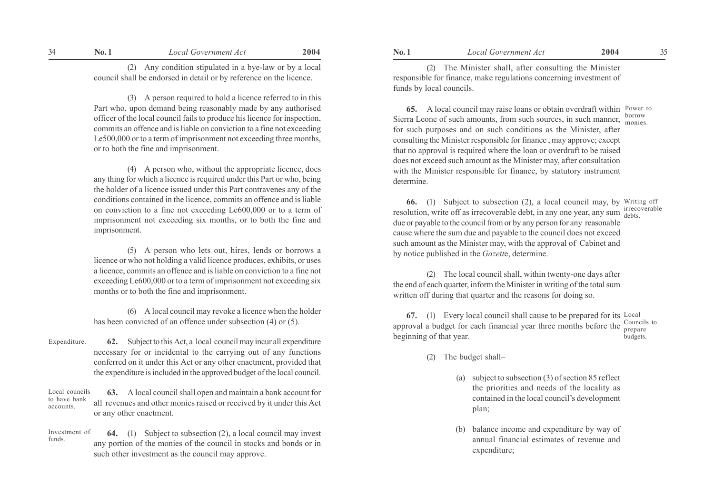(2) Any condition stipulated in a bye-law or by a local council shall be endorsed in detail or by reference on the licence.

(3) A person required to hold a licence referred to in this Part who, upon demand being reasonably made by any authorised officer of the local council fails to produce his licence for inspection, commits an offence and is liable on conviction to a fine not exceeding Le500,000 or to a term of imprisonment not exceeding three months, or to both the fine and imprisonment.

(4) A person who, without the appropriate licence, does any thing for which a licence is required under this Part or who, being the holder of a licence issued under this Part contravenes any of the conditions contained in the licence, commits an offence and is liable on conviction to a fine not exceeding Le600,000 or to a term of imprisonment not exceeding six months, or to both the fine and imprisonment.

(5) A person who lets out, hires, lends or borrows a licence or who not holding a valid licence produces, exhibits, or uses a licence, commits an offence and is liable on conviction to a fine not exceeding Le600,000 or to a term of imprisonment not exceeding six months or to both the fine and imprisonment.

(6) A local council may revoke a licence when the holder has been convicted of an offence under subsection (4) or (5).

62. Subject to this Act, a local council may incur all expenditure necessary for or incidental to the carrying out of any functions conferred on it under this Act or any other enactment, provided that the expenditure is included in the approved budget of the local council. Expenditure.

63. A local council shall open and maintain a bank account for all revenues and other monies raised or received by it under this Act or any other enactment. Local councils to have bank accounts.

64. (1) Subject to subsection (2), a local council may invest any portion of the monies of the council in stocks and bonds or in such other investment as the council may approve. Investment of funds.

No. 1 Local Government Act 2004 No. 1 Local Government Act 2004 34 35

(2) The Minister shall, after consulting the Minister responsible for finance, make regulations concerning investment of funds by local councils.

65. A local council may raise loans or obtain overdraft within Power to Sierra Leone of such amounts, from such sources, in such manner, for such purposes and on such conditions as the Minister, after consulting the Minister responsible for finance , may approve; except that no approval is required where the loan or overdraft to be raised does not exceed such amount as the Minister may, after consultation with the Minister responsible for finance, by statutory instrument determine. borrow monies.

66. (1) Subject to subsection (2), a local council may, by Writing off resolution, write off as irrecoverable debt, in any one year, any sum  $\frac{1}{1}$  debts due or payable to the council from or by any person for any reasonable cause where the sum due and payable to the council does not exceed such amount as the Minister may, with the approval of Cabinet and by notice published in the Gazette, determine. debts.

(2) The local council shall, within twenty-one days after the end of each quarter, inform the Minister in writing of the total sum written off during that quarter and the reasons for doing so.

67. (1) Every local council shall cause to be prepared for its Local approval a budget for each financial year three months before the  $\frac{\text{Countes}}{\text{preparse}}$ beginning of that year. prepare budgets.

- (2) The budget shall-
	- (a) subject to subsection (3) of section 85 reflect the priorities and needs of the locality as contained in the local council's development plan;
	- (b) balance income and expenditure by way of annual financial estimates of revenue and expenditure;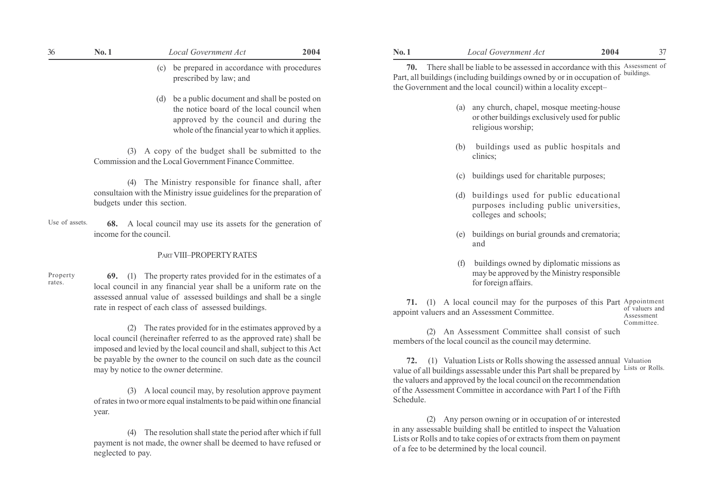| 36                 | No.1                        | Local Government Act                                                                                                                                                                                         | 2004 | No.1      |     | <b>Local Government Act</b>                                                                                                                                                                                                           | 2004 | 37                           |
|--------------------|-----------------------------|--------------------------------------------------------------------------------------------------------------------------------------------------------------------------------------------------------------|------|-----------|-----|---------------------------------------------------------------------------------------------------------------------------------------------------------------------------------------------------------------------------------------|------|------------------------------|
|                    |                             | be prepared in accordance with procedures<br>(c)<br>prescribed by law; and                                                                                                                                   |      |           |     | 70. There shall be liable to be assessed in accordance with this Assessment of<br>Part, all buildings (including buildings owned by or in occupation of buildings.<br>the Government and the local council) within a locality except- |      |                              |
|                    |                             | (d) be a public document and shall be posted on<br>the notice board of the local council when<br>approved by the council and during the<br>whole of the financial year to which it applies.                  |      |           |     | (a) any church, chapel, mosque meeting-house<br>or other buildings exclusively used for public<br>religious worship;                                                                                                                  |      |                              |
|                    |                             | (3) A copy of the budget shall be submitted to the<br>Commission and the Local Government Finance Committee.                                                                                                 |      |           | (b) | buildings used as public hospitals and<br>clinics;                                                                                                                                                                                    |      |                              |
|                    |                             | (4) The Ministry responsible for finance shall, after                                                                                                                                                        |      |           | (c) | buildings used for charitable purposes;                                                                                                                                                                                               |      |                              |
|                    | budgets under this section. | consultaion with the Ministry issue guidelines for the preparation of                                                                                                                                        |      |           |     | (d) buildings used for public educational<br>purposes including public universities,<br>colleges and schools;                                                                                                                         |      |                              |
| Use of assets.     | income for the council.     | 68. A local council may use its assets for the generation of                                                                                                                                                 |      |           |     | (e) buildings on burial grounds and crematoria;<br>and                                                                                                                                                                                |      |                              |
|                    |                             | PART VIII-PROPERTY RATES                                                                                                                                                                                     |      |           |     | buildings owned by diplomatic missions as                                                                                                                                                                                             |      |                              |
| Property<br>rates. |                             | <b>69.</b> (1) The property rates provided for in the estimates of a<br>local council in any financial year shall be a uniform rate on the                                                                   |      |           |     | may be approved by the Ministry responsible<br>for foreign affairs.                                                                                                                                                                   |      |                              |
|                    |                             | assessed annual value of assessed buildings and shall be a single<br>rate in respect of each class of assessed buildings.                                                                                    |      |           |     | 71. (1) A local council may for the purposes of this Part Appointment<br>appoint valuers and an Assessment Committee.                                                                                                                 |      | of valuers and<br>Assessment |
|                    |                             | (2) The rates provided for in the estimates approved by a<br>local council (hereinafter referred to as the approved rate) shall be<br>imposed and levied by the local council and shall, subject to this Act |      |           |     | (2) An Assessment Committee shall consist of such<br>members of the local council as the council may determine.                                                                                                                       |      | Committee.                   |
|                    |                             | be payable by the owner to the council on such date as the council<br>may by notice to the owner determine.                                                                                                  |      |           |     | 72. (1) Valuation Lists or Rolls showing the assessed annual Valuation<br>value of all buildings assessable under this Part shall be prepared by<br>the valuers and approved by the local council on the recommendation               |      | Lists or Rolls.              |
|                    | year.                       | (3) A local council may, by resolution approve payment<br>of rates in two or more equal instalments to be paid within one financial                                                                          |      | Schedule. |     | of the Assessment Committee in accordance with Part I of the Fifth                                                                                                                                                                    |      |                              |
|                    |                             | $\mathbf{A}$ and $\mathbf{A}$ are a set of $\mathbf{A}$ and $\mathbf{A}$ are a set of $\mathbf{A}$                                                                                                           |      |           |     | (2) Any person owning or in occupation of or interested<br>in any assessable building shall be entitled to inspect the Valuation                                                                                                      |      |                              |

(4) The resolution shall state the period after which if full payment is not made, the owner shall be deemed to have refused or neglected to pay.

- (a) any church, chapel, mosque meeting-house or other buildings exclusively used for public religious worship;
- (b) buildings used as public hospitals and clinics;
- (c) buildings used for charitable purposes;
- (d) buildings used for public educational purposes including public universities, colleges and schools;
- (e) buildings on burial grounds and crematoria; and
- (f) buildings owned by diplomatic missions as may be approved by the Ministry responsible for foreign affairs.

(2) Any person owning or in occupation of or interested in any assessable building shall be entitled to inspect the Valuation Lists or Rolls and to take copies of or extracts from them on payment of a fee to be determined by the local council.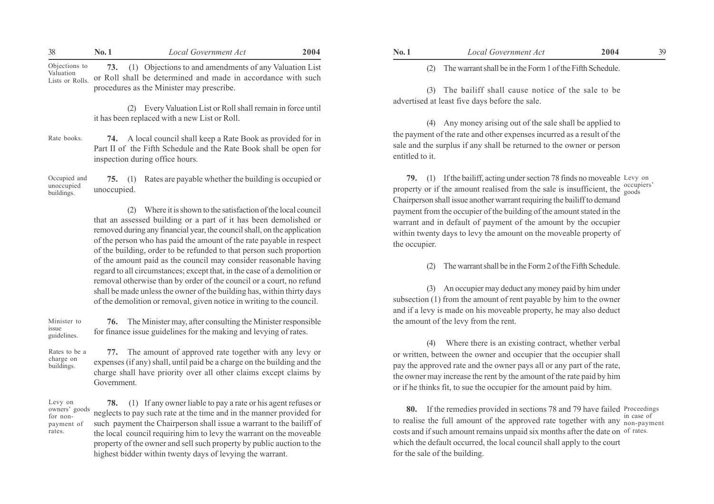| 38                                            | No. 1 | Local Government Act                                                                                                                                                    | 2004 |
|-----------------------------------------------|-------|-------------------------------------------------------------------------------------------------------------------------------------------------------------------------|------|
| Objections to<br>Valuation<br>Lists or Rolls. |       | 73. (1) Objections to and amendments of any Valuation List<br>or Roll shall be determined and made in accordance with such<br>procedures as the Minister may prescribe. |      |
|                                               |       | (2) Every Valuation List or Roll shall remain in force until                                                                                                            |      |

(2) Every Valuation List or Roll shall remain in force until it has been replaced with a new List or Roll.

74. A local council shall keep a Rate Book as provided for in Part II of the Fifth Schedule and the Rate Book shall be open for inspection during office hours. Rate books.

75. (1) Rates are payable whether the building is occupied or unoccupied. Occupied and unoccupied buildings.

> (2) Where it is shown to the satisfaction of the local council that an assessed building or a part of it has been demolished or removed during any financial year, the council shall, on the application of the person who has paid the amount of the rate payable in respect of the building, order to be refunded to that person such proportion of the amount paid as the council may consider reasonable having regard to all circumstances; except that, in the case of a demolition or removal otherwise than by order of the council or a court, no refund shall be made unless the owner of the building has, within thirty days of the demolition or removal, given notice in writing to the council.

Minister to issue guidelines.

Levy on

for nonpayment of rates.

76. The Minister may, after consulting the Minister responsible for finance issue guidelines for the making and levying of rates.

77. The amount of approved rate together with any levy or expenses (if any) shall, until paid be a charge on the building and the charge shall have priority over all other claims except claims by Rates to be a charge on buildings.

Government. 78. (1) If any owner liable to pay a rate or his agent refuses or neglects to pay such rate at the time and in the manner provided for such payment the Chairperson shall issue a warrant to the bailiff of the local council requiring him to levy the warrant on the moveable property of the owner and sell such property by public auction to the owners' goods

highest bidder within twenty days of levying the warrant.

(2) The warrant shall be in the Form 1 of the Fifth Schedule.

(3) The bailiff shall cause notice of the sale to be advertised at least five days before the sale.

(4) Any money arising out of the sale shall be applied to the payment of the rate and other expenses incurred as a result of the sale and the surplus if any shall be returned to the owner or person entitled to it.

79. (1) If the bailiff, acting under section 78 finds no moveable Levy on property or if the amount realised from the sale is insufficient, the  $\frac{\text{occupiers}}{\text{goods}}$ Chairperson shall issue another warrant requiring the bailiff to demand payment from the occupier of the building of the amount stated in the warrant and in default of payment of the amount by the occupier within twenty days to levy the amount on the moveable property of the occupier. goods

The warrant shall be in the Form 2 of the Fifth Schedule.

(3) An occupier may deduct any money paid by him under subsection (1) from the amount of rent payable by him to the owner and if a levy is made on his moveable property, he may also deduct the amount of the levy from the rent.

(4) Where there is an existing contract, whether verbal or written, between the owner and occupier that the occupier shall pay the approved rate and the owner pays all or any part of the rate, the owner may increase the rent by the amount of the rate paid by him or if he thinks fit, to sue the occupier for the amount paid by him.

80. If the remedies provided in sections 78 and 79 have failed Proceedings to realise the full amount of the approved rate together with any mon-payment costs and if such amount remains unpaid six months after the date on of rates. which the default occurred, the local council shall apply to the court for the sale of the building. in case of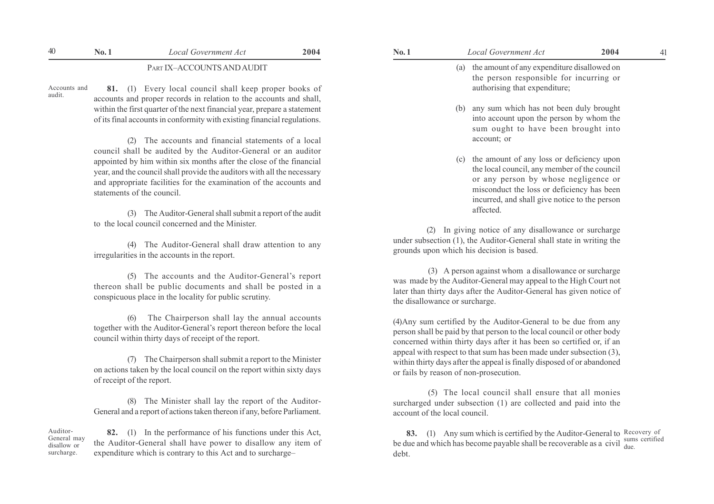# 40 **No. 1** Local Government Act **2004 No. 1** Local Government Act **2004** 41

PART IX-ACCOUNTS AND AUDIT

Accounts and audit.

81. (1) Every local council shall keep proper books of accounts and proper records in relation to the accounts and shall, within the first quarter of the next financial year, prepare a statement of its final accounts in conformity with existing financial regulations.

(2) The accounts and financial statements of a local council shall be audited by the Auditor-General or an auditor appointed by him within six months after the close of the financial year, and the council shall provide the auditors with all the necessary and appropriate facilities for the examination of the accounts and statements of the council.

(3) The Auditor-General shall submit a report of the audit to the local council concerned and the Minister.

(4) The Auditor-General shall draw attention to any irregularities in the accounts in the report.

(5) The accounts and the Auditor-General's report thereon shall be public documents and shall be posted in a conspicuous place in the locality for public scrutiny.

(6) The Chairperson shall lay the annual accounts together with the Auditor-General's report thereon before the local council within thirty days of receipt of the report.

(7) The Chairperson shall submit a report to the Minister on actions taken by the local council on the report within sixty days of receipt of the report.

(8) The Minister shall lay the report of the Auditor-General and a report of actions taken thereon if any, before Parliament.

Auditor-General may disallow or surcharge.

82. (1) In the performance of his functions under this Act, the Auditor-General shall have power to disallow any item of expenditure which is contrary to this Act and to surcharge–

- (a) the amount of any expenditure disallowed on the person responsible for incurring or authorising that expenditure;
	- (b) any sum which has not been duly brought into account upon the person by whom the sum ought to have been brought into account; or
	- (c) the amount of any loss or deficiency upon the local council, any member of the council or any person by whose negligence or misconduct the loss or deficiency has been incurred, and shall give notice to the person affected.

(2) In giving notice of any disallowance or surcharge under subsection (1), the Auditor-General shall state in writing the grounds upon which his decision is based.

 (3) A person against whom a disallowance or surcharge was made by the Auditor-General may appeal to the High Court not later than thirty days after the Auditor-General has given notice of the disallowance or surcharge.

(4)Any sum certified by the Auditor-General to be due from any person shall be paid by that person to the local council or other body concerned within thirty days after it has been so certified or, if an appeal with respect to that sum has been made under subsection (3), within thirty days after the appeal is finally disposed of or abandoned or fails by reason of non-prosecution.

 (5) The local council shall ensure that all monies surcharged under subsection (1) are collected and paid into the account of the local council.

**83.** (1) Any sum which is certified by the Auditor-General to Recovery of be due and which has become payable shall be recoverable as a civil  $\frac{\text{sums}}{\text{due}}$ debt. due.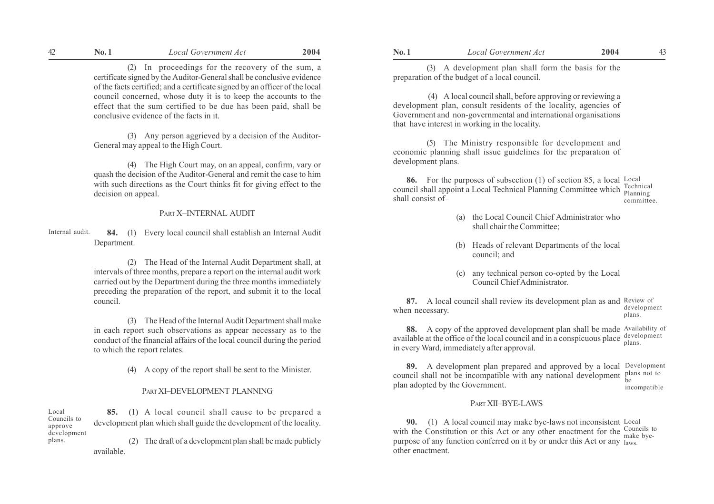(2) In proceedings for the recovery of the sum, a certificate signed by the Auditor-General shall be conclusive evidence of the facts certified; and a certificate signed by an officer of the local council concerned, whose duty it is to keep the accounts to the effect that the sum certified to be due has been paid, shall be conclusive evidence of the facts in it.

(3) Any person aggrieved by a decision of the Auditor-General may appeal to the High Court.

(4) The High Court may, on an appeal, confirm, vary or quash the decision of the Auditor-General and remit the case to him with such directions as the Court thinks fit for giving effect to the decision on appeal.

## PART X-INTERNAL AUDIT

84. (1) Every local council shall establish an Internal Audit Department. Internal audit.

> (2) The Head of the Internal Audit Department shall, at intervals of three months, prepare a report on the internal audit work carried out by the Department during the three months immediately preceding the preparation of the report, and submit it to the local council.

> (3) The Head of the Internal Audit Department shall make in each report such observations as appear necessary as to the conduct of the financial affairs of the local council during the period to which the report relates.

> > (4) A copy of the report shall be sent to the Minister.

#### PART XI-DEVELOPMENT PLANNING

85. (1) A local council shall cause to be prepared a development plan which shall guide the development of the locality. (2) The draft of a development plan shall be made publicly Local Councils to approve development plans.

available.

(3) A development plan shall form the basis for the preparation of the budget of a local council.

 (4) A local council shall, before approving or reviewing a development plan, consult residents of the locality, agencies of Government and non-governmental and international organisations that have interest in working in the locality.

(5) The Ministry responsible for development and economic planning shall issue guidelines for the preparation of development plans.

86. For the purposes of subsection (1) of section 85, a local  $\frac{Local}{n}$ council shall appoint a Local Technical Planning Committee which rechnical shall consist of $-$ Planning committee.

- (a) the Local Council Chief Administrator who shall chair the Committee;
- (b) Heads of relevant Departments of the local council; and
- (c) any technical person co-opted by the Local Council Chief Administrator.

**87.** A local council shall review its development plan as and Review of when necessary. development plans.

88. A copy of the approved development plan shall be made Availability of available at the office of the local council and in a conspicuous place  $\frac{d e\nu}{d}$ in every Ward, immediately after approval. plans.

89. A development plan prepared and approved by a local Development council shall not be incompatible with any national development  $_{\text{be}}^{\text{plans not to}}$ plan adopted by the Government. incompatible

## PART XII-BYE-LAWS

90. (1) A local council may make bye-laws not inconsistent Local with the Constitution or this Act or any other enactment for the  $\frac{\text{Countes to}}{\text{maka hve}}$ purpose of any function conferred on it by or under this Act or any laws. other enactment. make bye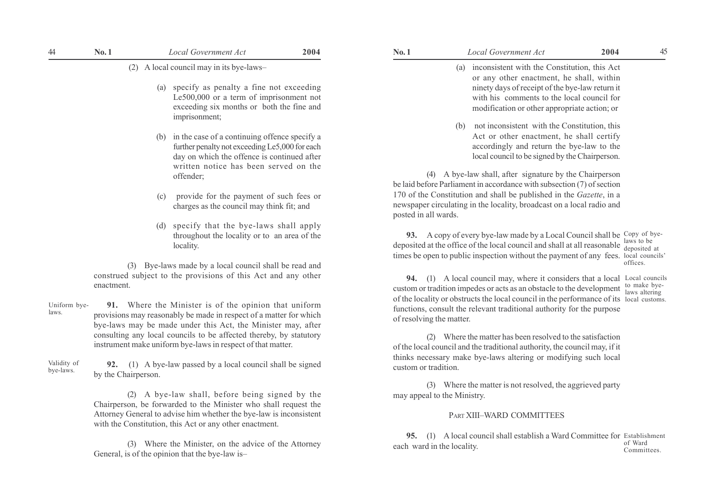(2) A local council may in its bye-laws-

- (a) specify as penalty a fine not exceeding Le500,000 or a term of imprisonment not exceeding six months or both the fine and imprisonment;
- (b) in the case of a continuing offence specify a further penalty not exceeding Le5,000 for each day on which the offence is continued after written notice has been served on the offender;
- (c) provide for the payment of such fees or charges as the council may think fit; and
- (d) specify that the bye-laws shall apply throughout the locality or to an area of the locality.

(3) Bye-laws made by a local council shall be read and construed subject to the provisions of this Act and any other enactment.

91. Where the Minister is of the opinion that uniform provisions may reasonably be made in respect of a matter for which bye-laws may be made under this Act, the Minister may, after consulting any local councils to be affected thereby, by statutory instrument make uniform bye-laws in respect of that matter. Uniform byelaws.

92. (1) A bye-law passed by a local council shall be signed by the Chairperson. Validity of bye-laws.

> (2) A bye-law shall, before being signed by the Chairperson, be forwarded to the Minister who shall request the Attorney General to advise him whether the bye-law is inconsistent with the Constitution, this Act or any other enactment.

> (3) Where the Minister, on the advice of the Attorney General, is of the opinion that the bye-law is-

| Local Government Act                                                                                                                                                                                                                             | 2004 | 4 |
|--------------------------------------------------------------------------------------------------------------------------------------------------------------------------------------------------------------------------------------------------|------|---|
| inconsistent with the Constitution, this Act<br>(a)<br>or any other enactment, he shall, within<br>ninety days of receipt of the bye-law return it<br>with his comments to the local council for<br>modification or other appropriate action; or |      |   |
| $\alpha$ , and the contract $\alpha$ and $\alpha$                                                                                                                                                                                                |      |   |

(b) not inconsistent with the Constitution, this Act or other enactment, he shall certify accordingly and return the bye-law to the local council to be signed by the Chairperson.

(4) A bye-law shall, after signature by the Chairperson be laid before Parliament in accordance with subsection (7) of section 170 of the Constitution and shall be published in the *Gazette*, in a newspaper circulating in the locality, broadcast on a local radio and posted in all wards.

93. A copy of every bye-law made by a Local Council shall be Copy of byedeposited at the office of the local council and shall at all reasonable  $\frac{\text{law}}{\text{deno}}$ times be open to public inspection without the payment of any fees. local councils' deposited at offices.

94. (1) A local council may, where it considers that a local Local councils custom or tradition impedes or acts as an obstacle to the development  $\frac{\text{to make bye}}{\text{lawes alternating}}$ of the locality or obstructs the local council in the performance of its local customs. functions, consult the relevant traditional authority for the purpose of resolving the matter. laws altering

(2) Where the matter has been resolved to the satisfaction of the local council and the traditional authority, the council may, if it thinks necessary make bye-laws altering or modifying such local custom or tradition.

(3) Where the matter is not resolved, the aggrieved party may appeal to the Ministry.

#### PART XIII-WARD COMMITTEES

95. (1) A local council shall establish a Ward Committee for Establishment each ward in the locality. of Ward Committees.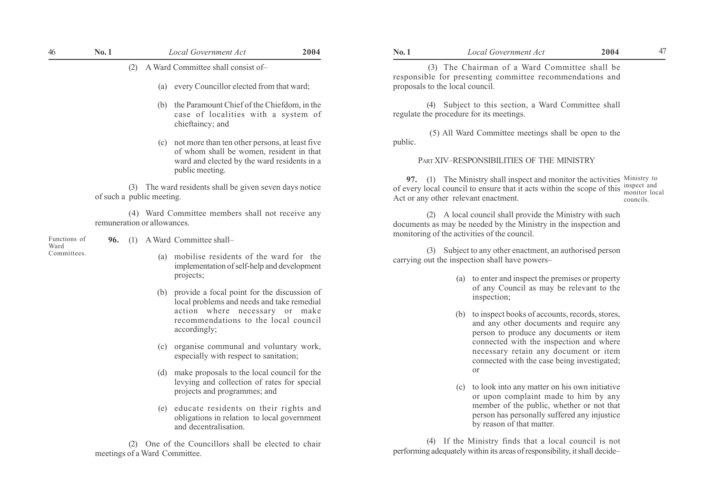| 46<br>No. 1 | Local Government Act | 2004 |
|-------------|----------------------|------|
|-------------|----------------------|------|

- (a) every Councillor elected from that ward;
- (b) the Paramount Chief of the Chiefdom, in the case of localities with a system of chieftaincy; and
- (c) not more than ten other persons, at least five of whom shall be women, resident in that ward and elected by the ward residents in a public meeting.

(3) The ward residents shall be given seven days notice of such a public meeting.

(4) Ward Committee members shall not receive any remuneration or allowances.

Functions of Ward Committees.

- 96. (1) A Ward Committee shall-
	- (a) mobilise residents of the ward for the implementation of self-help and development projects;
	- (b) provide a focal point for the discussion of local problems and needs and take remedial action where necessary or make recommendations to the local council accordingly;
	- (c) organise communal and voluntary work, especially with respect to sanitation;
	- (d) make proposals to the local council for the levying and collection of rates for special projects and programmes; and
	- (e) educate residents on their rights and obligations in relation to local government and decentralisation.

(2) One of the Councillors shall be elected to chair meetings of a Ward Committee.

 (3) The Chairman of a Ward Committee shall be responsible for presenting committee recommendations and proposals to the local council.

(4) Subject to this section, a Ward Committee shall regulate the procedure for its meetings.

 (5) All Ward Committee meetings shall be open to the public.

#### PART XIV-RESPONSIBILITIES OF THE MINISTRY

**97.** (1) The Ministry shall inspect and monitor the activities Ministry to of every local council to ensure that it acts within the scope of this  $\frac{\text{inspect and}}{\text{nonitor.}}$ Act or any other relevant enactment. monitor local councils.

(2) A local council shall provide the Ministry with such documents as may be needed by the Ministry in the inspection and monitoring of the activities of the council.

(3) Subject to any other enactment, an authorised person carrying out the inspection shall have powers–

- (a) to enter and inspect the premises or property of any Council as may be relevant to the inspection;
- (b) to inspect books of accounts, records, stores, and any other documents and require any person to produce any documents or item connected with the inspection and where necessary retain any document or item connected with the case being investigated; or
- (c) to look into any matter on his own initiative or upon complaint made to him by any member of the public, whether or not that person has personally suffered any injustice by reason of that matter.

(4) If the Ministry finds that a local council is not performing adequately within its areas of responsibility, it shall decideñ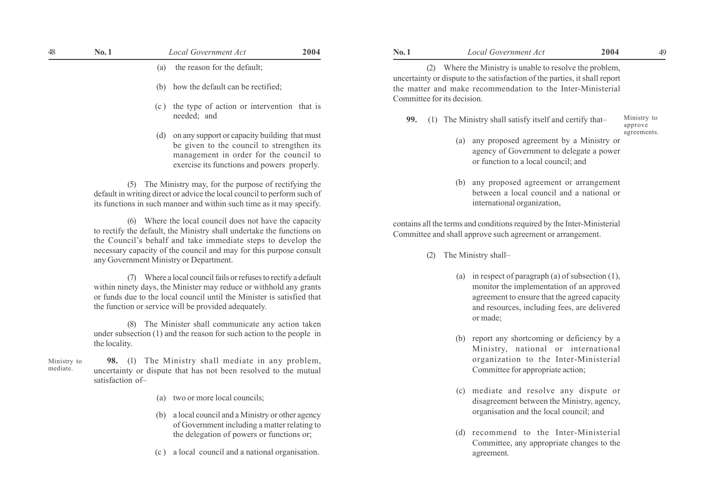| 48                      | No.1                                                                                                                                            | Local Government Act                                                                                                                                                                                                                                                                                            | 2004 | No.1                               | Local Government Act                                                                                                                                                                                                                                             | 2004 | 49                     |
|-------------------------|-------------------------------------------------------------------------------------------------------------------------------------------------|-----------------------------------------------------------------------------------------------------------------------------------------------------------------------------------------------------------------------------------------------------------------------------------------------------------------|------|------------------------------------|------------------------------------------------------------------------------------------------------------------------------------------------------------------------------------------------------------------------------------------------------------------|------|------------------------|
|                         | the reason for the default;<br>(a)<br>how the default can be rectified;<br>(b)<br>(c) the type of action or intervention that is<br>needed; and |                                                                                                                                                                                                                                                                                                                 |      | Committee for its decision.<br>99. | (2) Where the Ministry is unable to resolve the problem,<br>uncertainty or dispute to the satisfaction of the parties, it shall report<br>the matter and make recommendation to the Inter-Ministerial<br>(1) The Ministry shall satisfy itself and certify that- |      | Ministry to<br>approve |
|                         |                                                                                                                                                 | on any support or capacity building that must<br>(d)<br>be given to the council to strengthen its<br>management in order for the council to<br>exercise its functions and powers properly.                                                                                                                      |      |                                    | any proposed agreement by a Ministry or<br>(a)<br>agency of Government to delegate a power<br>or function to a local council; and                                                                                                                                |      | agreements.            |
|                         |                                                                                                                                                 | (5) The Ministry may, for the purpose of rectifying the<br>default in writing direct or advice the local council to perform such of<br>its functions in such manner and within such time as it may specify.                                                                                                     |      |                                    | any proposed agreement or arrangement<br>(b)<br>between a local council and a national or<br>international organization,                                                                                                                                         |      |                        |
|                         |                                                                                                                                                 | (6) Where the local council does not have the capacity<br>to rectify the default, the Ministry shall undertake the functions on<br>the Council's behalf and take immediate steps to develop the<br>necessary capacity of the council and may for this purpose consult<br>any Government Ministry or Department. |      | (2)                                | contains all the terms and conditions required by the Inter-Ministerial<br>Committee and shall approve such agreement or arrangement.<br>The Ministry shall-                                                                                                     |      |                        |
|                         |                                                                                                                                                 | (7) Where a local council fails or refuses to rectify a default<br>within ninety days, the Minister may reduce or withhold any grants<br>or funds due to the local council until the Minister is satisfied that<br>the function or service will be provided adequately.                                         |      |                                    | (a) in respect of paragraph (a) of subsection $(1)$ ,<br>monitor the implementation of an approved<br>agreement to ensure that the agreed capacity<br>and resources, including fees, are delivered<br>or made;                                                   |      |                        |
|                         | the locality.                                                                                                                                   | (8) The Minister shall communicate any action taken<br>under subsection $(1)$ and the reason for such action to the people in                                                                                                                                                                                   |      |                                    | (b) report any shortcoming or deficiency by a<br>Ministry, national or international                                                                                                                                                                             |      |                        |
| Ministry to<br>mediate. | satisfaction of-                                                                                                                                | 98. (1) The Ministry shall mediate in any problem,<br>uncertainty or dispute that has not been resolved to the mutual                                                                                                                                                                                           |      |                                    | organization to the Inter-Ministerial<br>Committee for appropriate action;                                                                                                                                                                                       |      |                        |
|                         |                                                                                                                                                 | two or more local councils;<br>(a)<br>(b) a local council and a Ministry or other agency                                                                                                                                                                                                                        |      |                                    | (c) mediate and resolve any dispute or<br>disagreement between the Ministry, agency,<br>organisation and the local council; and                                                                                                                                  |      |                        |
|                         |                                                                                                                                                 | of Government including a matter relating to<br>the delegation of powers or functions or;                                                                                                                                                                                                                       |      |                                    | (d) recommend to the Inter-Ministerial                                                                                                                                                                                                                           |      |                        |

(c ) a local council and a national organisation.

| (2) Where the Ministry is unable to resolve the problem,<br>uncertainty or dispute to the satisfaction of the parties, it shall report<br>the matter and make recommendation to the Inter-Ministerial<br>Committee for its decision. |                                       |  |  |  |  |  |
|--------------------------------------------------------------------------------------------------------------------------------------------------------------------------------------------------------------------------------------|---------------------------------------|--|--|--|--|--|
| (1) The Ministry shall satisfy itself and certify that-<br>99.                                                                                                                                                                       | Ministry to<br>approve<br>agreements. |  |  |  |  |  |
| any proposed agreement by a Ministry or<br>(a)<br>agency of Government to delegate a power<br>or function to a local council; and                                                                                                    |                                       |  |  |  |  |  |
| any proposed agreement or arrangement<br>(b)<br>between a local council and a national or<br>international organization,                                                                                                             |                                       |  |  |  |  |  |
| contains all the terms and conditions required by the Inter-Ministerial                                                                                                                                                              |                                       |  |  |  |  |  |

- (a) in respect of paragraph (a) of subsection (1), monitor the implementation of an approved agreement to ensure that the agreed capacity and resources, including fees, are delivered or made;
- (b) report any shortcoming or deficiency by a Ministry, national or international organization to the Inter-Ministerial Committee for appropriate action;
- (c) mediate and resolve any dispute or disagreement between the Ministry, agency, organisation and the local council; and
- (d) recommend to the Inter-Ministerial Committee, any appropriate changes to the agreement.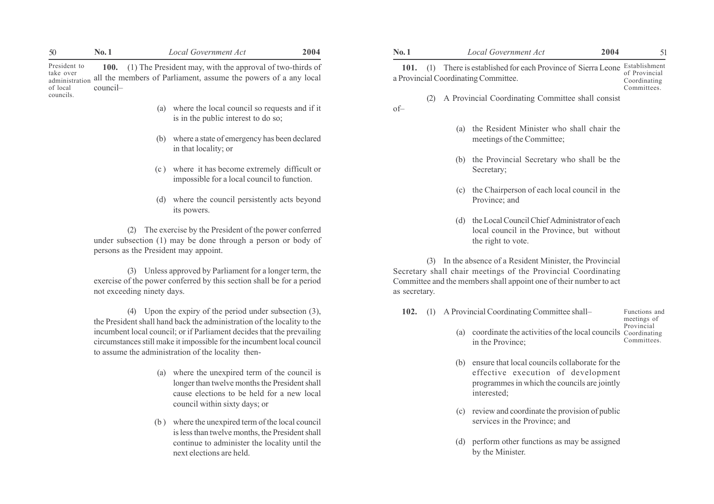| 50                                                                   | No. 1                   |     | Local Government Act                                                                                                         |  |  |  |  |
|----------------------------------------------------------------------|-------------------------|-----|------------------------------------------------------------------------------------------------------------------------------|--|--|--|--|
| President to<br>take over<br>administration<br>of local<br>councils. | <b>100.</b><br>council- |     | (1) The President may, with the approval of two-thirds of<br>all the members of Parliament, assume the powers of a any local |  |  |  |  |
|                                                                      |                         | (a) | where the local council so requests and if it<br>is in the public interest to do so;                                         |  |  |  |  |
|                                                                      |                         | (b) | where a state of emergency has been declared<br>in that locality; or                                                         |  |  |  |  |

- (c ) where it has become extremely difficult or impossible for a local council to function.
- (d) where the council persistently acts beyond its powers.

- (a) where the unexpired term of the council is longer than twelve months the President shall cause elections to be held for a new local council within sixty days; or
- (b ) where the unexpired term of the local council is less than twelve months, the President shall continue to administer the locality until the next elections are held.

| 50                                                      | No.1                                  | <b>Local Government Act</b>                                                                                                                                                                           | 2004 | No.1          |     | <b>Local Government Act</b>                                                                                                                                                                      | 2004 | 51                                           |
|---------------------------------------------------------|---------------------------------------|-------------------------------------------------------------------------------------------------------------------------------------------------------------------------------------------------------|------|---------------|-----|--------------------------------------------------------------------------------------------------------------------------------------------------------------------------------------------------|------|----------------------------------------------|
| President to<br>take over<br>administration<br>of local | council-                              | 100. (1) The President may, with the approval of two-thirds of<br>all the members of Parliament, assume the powers of a any local                                                                     |      | 101. $(1)$    |     | There is established for each Province of Sierra Leone Establishment<br>a Provincial Coordinating Committee.                                                                                     |      | of Provincial<br>Coordinating<br>Committees. |
| councils.                                               | (a)                                   | where the local council so requests and if it<br>is in the public interest to do so;                                                                                                                  |      | (2)<br>$of-$  |     | A Provincial Coordinating Committee shall consist                                                                                                                                                |      |                                              |
|                                                         | (b)                                   | where a state of emergency has been declared<br>in that locality; or                                                                                                                                  |      |               | (a) | the Resident Minister who shall chair the<br>meetings of the Committee;                                                                                                                          |      |                                              |
|                                                         | (c)                                   | where it has become extremely difficult or<br>impossible for a local council to function.                                                                                                             |      |               | (b) | the Provincial Secretary who shall be the<br>Secretary;                                                                                                                                          |      |                                              |
|                                                         |                                       | where the council persistently acts beyond<br>its powers.                                                                                                                                             |      |               | (c) | the Chairperson of each local council in the<br>Province; and                                                                                                                                    |      |                                              |
|                                                         | persons as the President may appoint. | The exercise by the President of the power conferred<br>under subsection (1) may be done through a person or body of                                                                                  |      |               | (d) | the Local Council Chief Administrator of each<br>local council in the Province, but without<br>the right to vote.                                                                                |      |                                              |
|                                                         | not exceeding ninety days.            | (3) Unless approved by Parliament for a longer term, the<br>exercise of the power conferred by this section shall be for a period                                                                     |      | as secretary. |     | (3) In the absence of a Resident Minister, the Provincial<br>Secretary shall chair meetings of the Provincial Coordinating<br>Committee and the members shall appoint one of their number to act |      |                                              |
|                                                         |                                       | Upon the expiry of the period under subsection $(3)$ ,<br>the President shall hand back the administration of the locality to the                                                                     |      | 102.<br>(1)   |     | A Provincial Coordinating Committee shall-                                                                                                                                                       |      | Functions and<br>meetings of                 |
|                                                         |                                       | incumbent local council; or if Parliament decides that the prevailing<br>circumstances still make it impossible for the incumbent local council<br>to assume the administration of the locality then- |      |               | (a) | coordinate the activities of the local councils Coordinating<br>in the Province;                                                                                                                 |      | Provincial<br>Committees.                    |
|                                                         |                                       |                                                                                                                                                                                                       |      |               |     | (b) ensure that local councils collaborate for the                                                                                                                                               |      |                                              |

- (b) ensure that local councils collaborate for the effective execution of development programmes in which the councils are jointly interested;
- (c) review and coordinate the provision of public services in the Province; and
- (d) perform other functions as may be assigned by the Minister.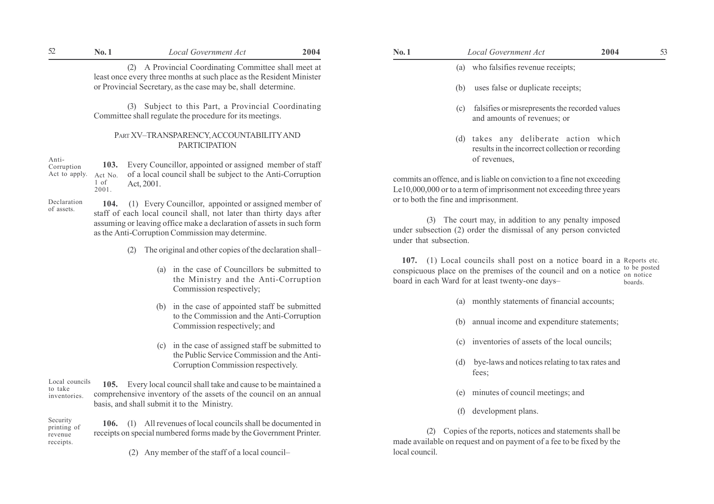| 52                        | No.1                                                                                                 | <b>Local Government Act</b>                                                                                                                                                                     | 2004                                     | No.1                                                                                                                                                   |                                                                                                                                                | <b>Local Government Act</b>                                                           | 2004 | 53 |
|---------------------------|------------------------------------------------------------------------------------------------------|-------------------------------------------------------------------------------------------------------------------------------------------------------------------------------------------------|------------------------------------------|--------------------------------------------------------------------------------------------------------------------------------------------------------|------------------------------------------------------------------------------------------------------------------------------------------------|---------------------------------------------------------------------------------------|------|----|
|                           |                                                                                                      | A Provincial Coordinating Committee shall meet at<br>(2)<br>least once every three months at such place as the Resident Minister                                                                |                                          |                                                                                                                                                        | (a)                                                                                                                                            | who falsifies revenue receipts;                                                       |      |    |
|                           |                                                                                                      | or Provincial Secretary, as the case may be, shall determine.                                                                                                                                   | uses false or duplicate receipts;<br>(b) |                                                                                                                                                        |                                                                                                                                                |                                                                                       |      |    |
|                           |                                                                                                      | Subject to this Part, a Provincial Coordinating<br>(3)<br>Committee shall regulate the procedure for its meetings.                                                                              |                                          |                                                                                                                                                        | (c)                                                                                                                                            | falsifies or misrepresents the recorded values<br>and amounts of revenues; or         |      |    |
|                           |                                                                                                      | PART XV-TRANSPARENCY, ACCOUNTABILITY AND<br><b>PARTICIPATION</b>                                                                                                                                |                                          |                                                                                                                                                        | (d)                                                                                                                                            | takes any deliberate action which<br>results in the incorrect collection or recording |      |    |
| Anti-<br>Corruption       | 103.                                                                                                 | Every Councillor, appointed or assigned member of staff                                                                                                                                         |                                          |                                                                                                                                                        |                                                                                                                                                | of revenues.                                                                          |      |    |
| Act to apply.             | of a local council shall be subject to the Anti-Corruption<br>Act No.<br>1 of<br>Act, 2001.<br>2001. |                                                                                                                                                                                                 |                                          |                                                                                                                                                        | commits an offence, and is liable on conviction to a fine not exceeding<br>Le10,000,000 or to a term of imprisonment not exceeding three years |                                                                                       |      |    |
| Declaration<br>of assets. | 104.                                                                                                 | (1) Every Councillor, appointed or assigned member of                                                                                                                                           |                                          |                                                                                                                                                        |                                                                                                                                                | or to both the fine and imprisonment.                                                 |      |    |
|                           |                                                                                                      | staff of each local council shall, not later than thirty days after<br>assuming or leaving office make a declaration of assets in such form<br>as the Anti-Corruption Commission may determine. |                                          | The court may, in addition to any penalty imposed<br>(3)<br>under subsection (2) order the dismissal of any person convicted<br>under that subsection. |                                                                                                                                                |                                                                                       |      |    |
|                           |                                                                                                      | The original and other copies of the declaration shall—<br>(2)                                                                                                                                  |                                          |                                                                                                                                                        |                                                                                                                                                |                                                                                       |      |    |

- (a) in the case of Councillors be submitted to the Ministry and the Anti-Corruption Commission respectively;
- (b) in the case of appointed staff be submitted to the Commission and the Anti-Corruption Commission respectively; and
- (c) in the case of assigned staff be submitted to the Public Service Commission and the Anti-Corruption Commission respectively.

105. Every local council shall take and cause to be maintained a comprehensive inventory of the assets of the council on an annual basis, and shall submit it to the Ministry. Local councils to take inventories.

106. (1) All revenues of local councils shall be documented in receipts on special numbered forms made by the Government Printer. Security printing of revenue receipts.

(2) Any member of the staff of a local council-

| No. 1 | Local Government Act                | 2004 |  |
|-------|-------------------------------------|------|--|
|       | (a) who falsifies revenue receipts; |      |  |

- (b) uses false or duplicate receipts;
- (c) falsifies or misrepresents the recorded values and amounts of revenues; or
- (d) takes any deliberate action which results in the incorrect collection or recording of revenues,

107. (1) Local councils shall post on a notice board in a Reports etc. conspicuous place on the premises of the council and on a notice  $\frac{1}{p}$  be posted board in each Ward for at least twenty-one daysboards.

- (a) monthly statements of financial accounts;
- (b) annual income and expenditure statements;
- (c) inventories of assets of the local ouncils;
- (d) bye-laws and notices relating to tax rates and fees;
- (e) minutes of council meetings; and
- (f) development plans.

(2) Copies of the reports, notices and statements shall be made available on request and on payment of a fee to be fixed by the local council.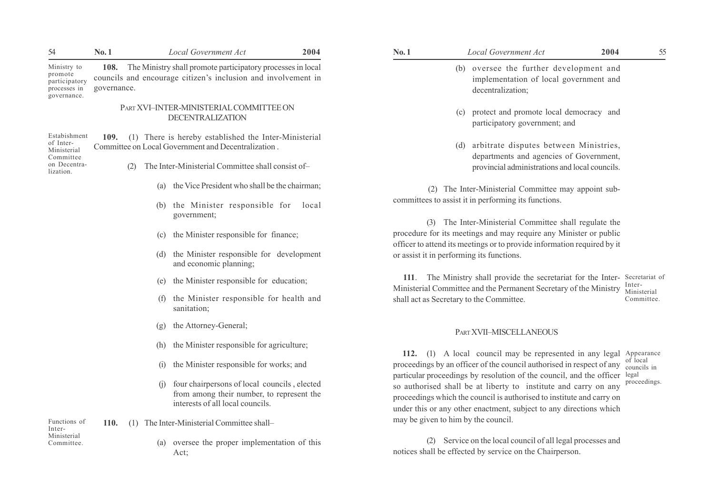| 54                                                                                 | No.1                | Local Government Act                                                                                                                 | 2004                                                                                                                                                             | No.1                                                                                                                                               | Local Government Act                                                                                                                                                                                                                                                                         | 2004<br>55                |
|------------------------------------------------------------------------------------|---------------------|--------------------------------------------------------------------------------------------------------------------------------------|------------------------------------------------------------------------------------------------------------------------------------------------------------------|----------------------------------------------------------------------------------------------------------------------------------------------------|----------------------------------------------------------------------------------------------------------------------------------------------------------------------------------------------------------------------------------------------------------------------------------------------|---------------------------|
| Ministry to<br>promote<br>participatory<br>processes in<br>governance.             | 108.<br>governance. | The Ministry shall promote participatory processes in local<br>councils and encourage citizen's inclusion and involvement in         |                                                                                                                                                                  |                                                                                                                                                    | (b) oversee the further development and<br>implementation of local government and<br>decentralization;                                                                                                                                                                                       |                           |
|                                                                                    |                     | PART XVI-INTER-MINISTERIAL COMMITTEE ON<br><b>DECENTRALIZATION</b>                                                                   |                                                                                                                                                                  |                                                                                                                                                    | protect and promote local democracy and<br>(c)<br>participatory government; and                                                                                                                                                                                                              |                           |
| Estabishment<br>of Inter-<br>Ministerial<br>Committee<br>on Decentra-<br>lization. | 109.<br>(2)         | Committee on Local Government and Decentralization.                                                                                  | (1) There is hereby established the Inter-Ministerial<br>The Inter-Ministerial Committee shall consist of-                                                       |                                                                                                                                                    | arbitrate disputes between Ministries,<br>(d)<br>departments and agencies of Government,<br>provincial administrations and local councils.                                                                                                                                                   |                           |
|                                                                                    |                     | the Vice President who shall be the chairman;<br>(a)                                                                                 |                                                                                                                                                                  |                                                                                                                                                    | (2) The Inter-Ministerial Committee may appoint sub-                                                                                                                                                                                                                                         |                           |
|                                                                                    |                     | (b) the Minister responsible for local<br>government;                                                                                |                                                                                                                                                                  |                                                                                                                                                    | committees to assist it in performing its functions.<br>(3) The Inter-Ministerial Committee shall regulate the                                                                                                                                                                               |                           |
|                                                                                    |                     | the Minister responsible for finance;<br>(c)                                                                                         |                                                                                                                                                                  | procedure for its meetings and may require any Minister or public                                                                                  |                                                                                                                                                                                                                                                                                              |                           |
|                                                                                    |                     | (d)<br>and economic planning;                                                                                                        | officer to attend its meetings or to provide information required by it<br>the Minister responsible for development<br>or assist it in performing its functions. |                                                                                                                                                    |                                                                                                                                                                                                                                                                                              |                           |
|                                                                                    |                     | the Minister responsible for education;<br>(e)                                                                                       |                                                                                                                                                                  | 111. The Ministry shall provide the secretariat for the Inter- Secretariat of<br>Ministerial Committee and the Permanent Secretary of the Ministry |                                                                                                                                                                                                                                                                                              | Inter-                    |
|                                                                                    |                     | the Minister responsible for health and<br>(f)<br>sanitation;                                                                        |                                                                                                                                                                  |                                                                                                                                                    | shall act as Secretary to the Committee.                                                                                                                                                                                                                                                     | Ministerial<br>Committee. |
|                                                                                    |                     | the Attorney-General;<br>(g)                                                                                                         |                                                                                                                                                                  |                                                                                                                                                    | PART XVII-MISCELLANEOUS                                                                                                                                                                                                                                                                      |                           |
|                                                                                    |                     | the Minister responsible for agriculture;<br>(h)                                                                                     |                                                                                                                                                                  |                                                                                                                                                    | 112. (1) A local council may be represented in any legal Appearance                                                                                                                                                                                                                          |                           |
|                                                                                    |                     | the Minister responsible for works; and<br>(1)                                                                                       |                                                                                                                                                                  |                                                                                                                                                    | proceedings by an officer of the council authorised in respect of any                                                                                                                                                                                                                        | of local<br>councils in   |
|                                                                                    |                     | four chairpersons of local councils, elected<br>(i)<br>from among their number, to represent the<br>interests of all local councils. |                                                                                                                                                                  |                                                                                                                                                    | particular proceedings by resolution of the council, and the officer legal<br>so authorised shall be at liberty to institute and carry on any<br>proceedings which the council is authorised to institute and carry on<br>under this or any other enactment, subject to any directions which | proceedings.              |
| Functions of<br>Inter-                                                             | <b>110.</b><br>(1)  | The Inter-Ministerial Committee shall-                                                                                               |                                                                                                                                                                  |                                                                                                                                                    | may be given to him by the council.                                                                                                                                                                                                                                                          |                           |
| Ministerial<br>Committee.                                                          |                     | oversee the proper implementation of this<br>(a)<br>Act:                                                                             |                                                                                                                                                                  |                                                                                                                                                    | (2) Service on the local council of all legal processes and<br>notices shall be effected by service on the Chairperson.                                                                                                                                                                      |                           |

| No. 1                                            | Local Government Act<br>2004                                                                                                                                                                                                                                                                                                                                                                                                                                                                                        | 55                                                             |
|--------------------------------------------------|---------------------------------------------------------------------------------------------------------------------------------------------------------------------------------------------------------------------------------------------------------------------------------------------------------------------------------------------------------------------------------------------------------------------------------------------------------------------------------------------------------------------|----------------------------------------------------------------|
|                                                  | (b) oversee the further development and<br>implementation of local government and<br>decentralization;                                                                                                                                                                                                                                                                                                                                                                                                              |                                                                |
|                                                  | (c) protect and promote local democracy and<br>participatory government; and                                                                                                                                                                                                                                                                                                                                                                                                                                        |                                                                |
| (d)                                              | arbitrate disputes between Ministries,<br>departments and agencies of Government,<br>provincial administrations and local councils.                                                                                                                                                                                                                                                                                                                                                                                 |                                                                |
|                                                  | (2) The Inter-Ministerial Committee may appoint sub-<br>committees to assist it in performing its functions.                                                                                                                                                                                                                                                                                                                                                                                                        |                                                                |
| (3)<br>or assist it in performing its functions. | The Inter-Ministerial Committee shall regulate the<br>procedure for its meetings and may require any Minister or public<br>officer to attend its meetings or to provide information required by it                                                                                                                                                                                                                                                                                                                  |                                                                |
| 111.<br>shall act as Secretary to the Committee. | The Ministry shall provide the secretariat for the Inter- Secretariat of<br>Ministerial Committee and the Permanent Secretary of the Ministry                                                                                                                                                                                                                                                                                                                                                                       | Inter-<br>Ministerial<br>Committee.                            |
|                                                  | <b>PART XVII-MISCELLANEOUS</b>                                                                                                                                                                                                                                                                                                                                                                                                                                                                                      |                                                                |
| 112.                                             | (1) A local council may be represented in any legal<br>proceedings by an officer of the council authorised in respect of any<br>particular proceedings by resolution of the council, and the officer<br>$\mathbf{1}$ , $\mathbf{1}$ , $\mathbf{1}$ , $\mathbf{1}$ , $\mathbf{1}$ , $\mathbf{1}$ , $\mathbf{1}$ , $\mathbf{1}$ , $\mathbf{1}$ , $\mathbf{1}$ , $\mathbf{1}$ , $\mathbf{1}$ , $\mathbf{1}$ , $\mathbf{1}$ , $\mathbf{1}$ , $\mathbf{1}$ , $\mathbf{1}$ , $\mathbf{1}$ , $\mathbf{1}$ , $\mathbf{1}$ , | Appearance<br>of local<br>councils in<br>legal<br>proceedings. |

 $\frac{54}{M}$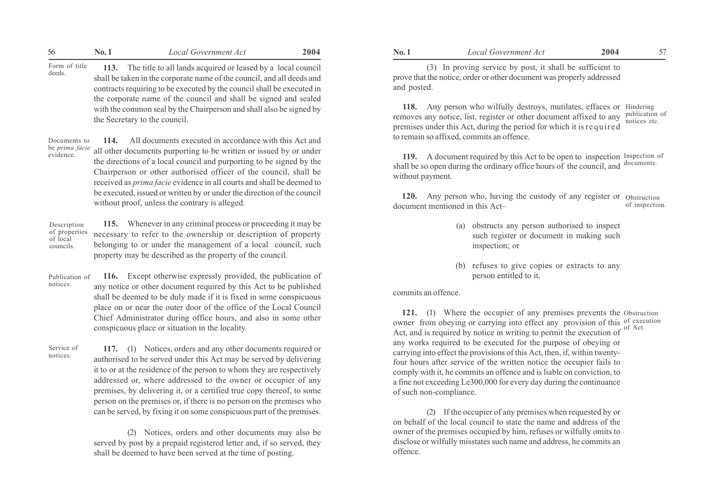|                         | No. 1 | Local Government Act                                                                                                                                                                                             | 2004 | No. 1       | Local Government Act                                                                                                               | 2004 |  |
|-------------------------|-------|------------------------------------------------------------------------------------------------------------------------------------------------------------------------------------------------------------------|------|-------------|------------------------------------------------------------------------------------------------------------------------------------|------|--|
| Form of title<br>deeds. |       | The title to all lands acquired or leased by a local council<br>shall be taken in the corporate name of the council, and all deeds and<br>contracts requiring to be executed by the council shall be executed in |      | and posted. | (3) In proving service by post, it shall be sufficient to<br>prove that the notice, order or other document was properly addressed |      |  |

the corporate name of the council and shall be signed and sealed with the common seal by the Chairperson and shall also be signed by the Secretary to the council.

114. All documents executed in accordance with this Act and all other documents purporting to be written or issued by or under the directions of a local council and purporting to be signed by the Chairperson or other authorised officer of the council, shall be received as prima facie evidence in all courts and shall be deemed to be executed, issued or written by or under the direction of the council without proof, unless the contrary is alleged. Documents to be prima facie evidence.

115. Whenever in any criminal process or proceeding it may be necessary to refer to the ownership or description of property belonging to or under the management of a local council, such property may be described as the property of the council. Description of properties of local councils.

116. Except otherwise expressly provided, the publication of any notice or other document required by this Act to be published shall be deemed to be duly made if it is fixed in some conspicuous place on or near the outer door of the office of the Local Council Chief Administrator during office hours, and also in some other conspicuous place or situation in the locality. Publication of notices.

117. (1) Notices, orders and any other documents required or authorised to be served under this Act may be served by delivering it to or at the residence of the person to whom they are respectively addressed or, where addressed to the owner or occupier of any premises, by delivering it, or a certified true copy thereof, to some person on the premises or, if there is no person on the premises who can be served, by fixing it on some conspicuous part of the premises. Service of notices.

> (2) Notices, orders and other documents may also be served by post by a prepaid registered letter and, if so served, they shall be deemed to have been served at the time of posting.

118. Any person who wilfully destroys, mutilates, effaces or Hindering removes any notice, list, register or other document affixed to any publication of premises under this Act, during the period for which it isrequired to remain so affixed, commits an offence. notices etc.

119. A document required by this Act to be open to inspection Inspection of shall be so open during the ordinary office hours of the council, and without payment. documents.

**120.** Any person who, having the custody of any register or Obstruction document mentioned in this Act– of inspection.

- (a) obstructs any person authorised to inspect such register or document in making such inspection; or
- (b) refuses to give copies or extracts to any person entitled to it,

#### commits an offence.

121. (1) Where the occupier of any premises prevents the Obstruction owner from obeying or carrying into effect any provision of this of execution Act, and is required by notice in writing to permit the execution of any works required to be executed for the purpose of obeying or carrying into effect the provisions of this Act, then, if, within twentyfour hours after service of the written notice the occupier fails to comply with it, he commits an offence and is liable on conviction, to a fine not exceeding Le300,000 for every day during the continuance of such non-compliance. of Act.

(2) If the occupier of any premises when requested by or on behalf of the local council to state the name and address of the owner of the premises occupied by him, refuses or wilfully omits to disclose or wilfully misstates such name and address, he commits an offence.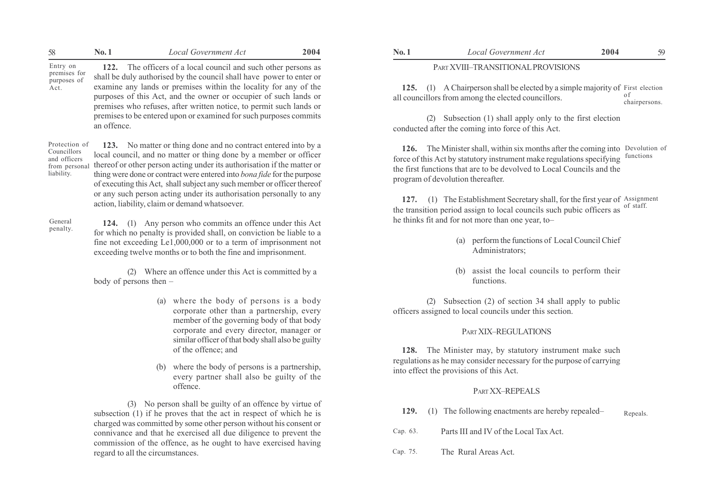| 58                                                                         | <b>No.1</b> | Local Government Act                                                                                                                                                                                                                                                                                                                                                        | 2004 | No.1                               | <b>Local Government Act</b>                                                                                                                                                                                                                                                | 2004 | 59                  |  |  |
|----------------------------------------------------------------------------|-------------|-----------------------------------------------------------------------------------------------------------------------------------------------------------------------------------------------------------------------------------------------------------------------------------------------------------------------------------------------------------------------------|------|------------------------------------|----------------------------------------------------------------------------------------------------------------------------------------------------------------------------------------------------------------------------------------------------------------------------|------|---------------------|--|--|
| Entry on<br>premises for                                                   |             | 122. The officers of a local council and such other persons as<br>shall be duly authorised by the council shall have power to enter or                                                                                                                                                                                                                                      |      | PART XVIII-TRANSITIONAL PROVISIONS |                                                                                                                                                                                                                                                                            |      |                     |  |  |
| purposes of<br>Act.                                                        |             | examine any lands or premises within the locality for any of the<br>purposes of this Act, and the owner or occupier of such lands or<br>premises who refuses, after written notice, to permit such lands or                                                                                                                                                                 |      | 125.<br>(1)                        | A Chairperson shall be elected by a simple majority of First election<br>all councillors from among the elected councillors.                                                                                                                                               |      | ΟĪ<br>chairpersons. |  |  |
|                                                                            | an offence. | premises to be entered upon or examined for such purposes commits                                                                                                                                                                                                                                                                                                           |      | (2)                                | Subsection (1) shall apply only to the first election<br>conducted after the coming into force of this Act.                                                                                                                                                                |      |                     |  |  |
| Protection of<br>Councillors<br>and officers<br>from persona<br>liability. |             | 123. No matter or thing done and no contract entered into by a<br>local council, and no matter or thing done by a member or officer<br>thereof or other person acting under its authorisation if the matter or<br>thing were done or contract were entered into <i>bona fide</i> for the purpose<br>of executing this Act, shall subject any such member or officer thereof |      | 126.                               | The Minister shall, within six months after the coming into Devolution of<br>force of this Act by statutory instrument make regulations specifying functions<br>the first functions that are to be devolved to Local Councils and the<br>program of devolution thereafter. |      |                     |  |  |
|                                                                            |             | or any such person acting under its authorisation personally to any<br>action, liability, claim or demand whatsoever.                                                                                                                                                                                                                                                       |      | 127.<br>(1)                        | The Establishment Secretary shall, for the first year of Assignment<br>the transition period assign to local councils such pubic officers as of staff.                                                                                                                     |      |                     |  |  |

General penalty.

124. (1) Any person who commits an offence under this Act for which no penalty is provided shall, on conviction be liable to a fine not exceeding Le1,000,000 or to a term of imprisonment not exceeding twelve months or to both the fine and imprisonment.

(2) Where an offence under this Act is committed by a body of persons then  $-$ 

- (a) where the body of persons is a body corporate other than a partnership, every member of the governing body of that body corporate and every director, manager or similar officer of that body shall also be guilty of the offence; and
- (b) where the body of persons is a partnership, every partner shall also be guilty of the offence.

(3) No person shall be guilty of an offence by virtue of subsection (1) if he proves that the act in respect of which he is charged was committed by some other person without his consent or connivance and that he exercised all due diligence to prevent the commission of the offence, as he ought to have exercised having regard to all the circumstances.

#### PART XVIII-TRANSITIONAL PROVISIONS

127. (1) The Establishment Secretary shall, for the first year of Assignment the transition period assign to local councils such pubic officers as he thinks fit and for not more than one year, to of staff.

- (a) perform the functions of Local Council Chief Administrators;
- (b) assist the local councils to perform their functions.

(2) Subsection (2) of section 34 shall apply to public officers assigned to local councils under this section.

## PART XIX-REGULATIONS

128. The Minister may, by statutory instrument make such regulations as he may consider necessary for the purpose of carrying into effect the provisions of this Act.

#### PART XX-REPEALS

- 129. (1) The following enactments are hereby repealed-Repeals.
- Parts III and IV of the Local Tax Act. Cap. 63.
- The Rural Areas Act. Cap. 75.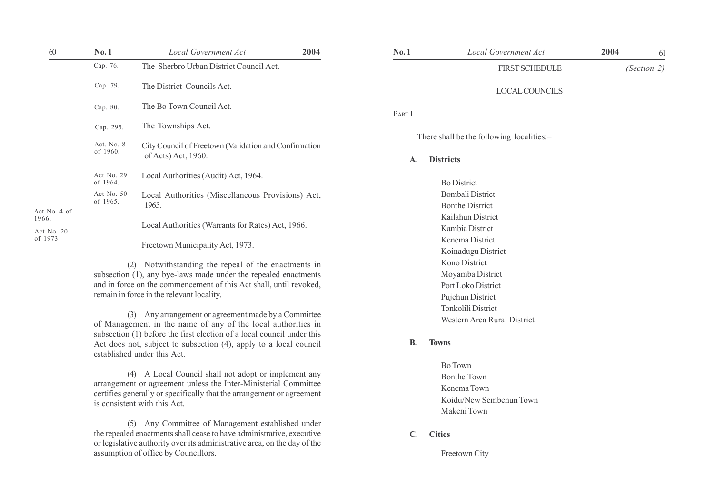| 60                                  | No.1                   | Local Government Act                                                         | 2004 | No.1   | Local Government Act                                          | 2004 | 61          |
|-------------------------------------|------------------------|------------------------------------------------------------------------------|------|--------|---------------------------------------------------------------|------|-------------|
|                                     | Cap. 76.               | The Sherbro Urban District Council Act.                                      |      |        | <b>FIRST SCHEDULE</b>                                         |      | (Section 2) |
|                                     | Cap. 79.               | The District Councils Act.                                                   |      |        | <b>LOCAL COUNCILS</b>                                         |      |             |
|                                     | Cap. 80.               | The Bo Town Council Act.                                                     |      | PART I |                                                               |      |             |
|                                     | Cap. 295.              | The Townships Act.                                                           |      |        |                                                               |      |             |
|                                     | Act. No. 8<br>of 1960. | City Council of Freetown (Validation and Confirmation<br>of Acts) Act, 1960. |      | A.     | There shall be the following localities:-<br><b>Districts</b> |      |             |
|                                     | Act No. 29<br>of 1964. | Local Authorities (Audit) Act, 1964.                                         |      |        | <b>Bo District</b>                                            |      |             |
|                                     | Act No. 50<br>of 1965. | Local Authorities (Miscellaneous Provisions) Act,<br>1965.                   |      |        | Bombali District<br><b>Bonthe District</b>                    |      |             |
| Act No. 4 of<br>1966.<br>Act No. 20 |                        | Local Authorities (Warrants for Rates) Act, 1966.                            |      |        | Kailahun District<br>Kambia District                          |      |             |
| of 1973.                            |                        | Freetown Municipality Act, 1973.                                             |      |        | Kenema District<br>Koinadugu District                         |      |             |
|                                     |                        |                                                                              |      |        |                                                               |      |             |

(2) Notwithstanding the repeal of the enactments in subsection (1), any bye-laws made under the repealed enactments and in force on the commencement of this Act shall, until revoked, remain in force in the relevant locality.

(3) Any arrangement or agreement made by a Committee of Management in the name of any of the local authorities in subsection (1) before the first election of a local council under this Act does not, subject to subsection (4), apply to a local council established under this Act.

(4) A Local Council shall not adopt or implement any arrangement or agreement unless the Inter-Ministerial Committee certifies generally or specifically that the arrangement or agreement is consistent with this Act.

(5) Any Committee of Management established under the repealed enactments shall cease to have administrative, executive or legislative authority over its administrative area, on the day of the assumption of office by Councillors.

| No.1      | Local Government Act                      | 2004 | 61          |
|-----------|-------------------------------------------|------|-------------|
|           | <b>FIRST SCHEDULE</b>                     |      | (Section 2) |
|           | <b>LOCAL COUNCILS</b>                     |      |             |
| PART I    |                                           |      |             |
|           | There shall be the following localities:- |      |             |
| A.        | <b>Districts</b>                          |      |             |
|           | <b>Bo District</b>                        |      |             |
|           | <b>Bombali District</b>                   |      |             |
|           | <b>Bonthe District</b>                    |      |             |
|           | Kailahun District                         |      |             |
|           | Kambia District                           |      |             |
|           | Kenema District                           |      |             |
|           | Koinadugu District                        |      |             |
|           | Kono District                             |      |             |
|           | Moyamba District                          |      |             |
|           | Port Loko District                        |      |             |
|           | Pujehun District                          |      |             |
|           | <b>Tonkolili District</b>                 |      |             |
|           | Western Area Rural District               |      |             |
| <b>B.</b> | <b>Towns</b>                              |      |             |
|           | <b>Bo Town</b>                            |      |             |
|           | <b>Bonthe Town</b>                        |      |             |
|           | Kenema Town                               |      |             |
|           | Koidu/New Sembehun Town                   |      |             |
|           | Makeni Town                               |      |             |

C. Cities

Freetown City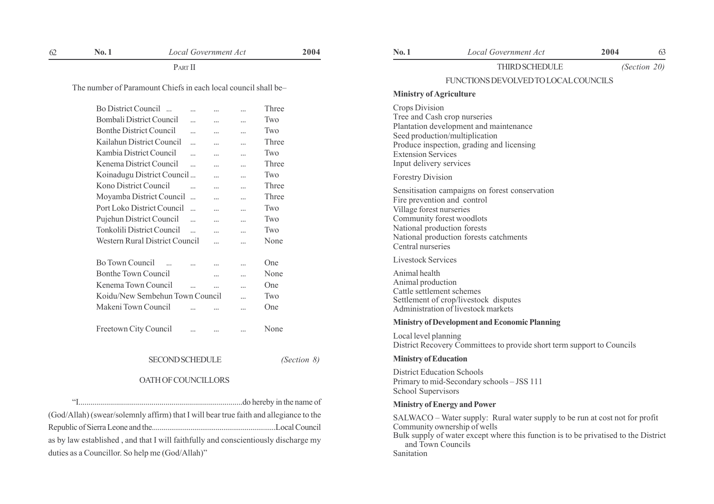PART II

The number of Paramount Chiefs in each local council shall be-

| <b>Bo District Council</b><br>$\sim$ |           | $\ddotsc$ |           | Three |
|--------------------------------------|-----------|-----------|-----------|-------|
| <b>Bombali District Council</b>      | .         |           |           | Two   |
| <b>Bonthe District Council</b>       |           |           |           | Two   |
| Kailahun District Council            |           |           | .         | Three |
| Kambia District Council              | $\ddotsc$ |           |           | Two   |
| Kenema District Council              |           |           | .         | Three |
| Koinadugu District Council           |           |           |           | Two   |
| Kono District Council                |           |           |           | Three |
| Moyamba District Council             | $\ddotsc$ |           |           | Three |
| Port Loko District Council           | $\ddotsc$ |           | .         | Two   |
| Pujehun District Council             |           | $\ddotsc$ | .         | Two   |
| <b>Tonkolili District Council</b>    | $\ddotsc$ |           |           | Two   |
| Western Rural District Council       |           | $\ddotsc$ | $\ddotsc$ | None  |
|                                      |           |           |           |       |
| Bo Town Council                      |           |           | .         | One   |
| <b>Bonthe Town Council</b>           |           |           | .         | None  |
| Kenema Town Council                  |           | .         | .         | One   |
| Koidu/New Sembehun Town Council      |           |           |           | Two   |
| Makeni Town Council                  |           |           | .         | One   |
|                                      |           |           |           |       |
| Freetown City Council                |           | $\ddotsc$ |           | None  |
|                                      |           |           |           |       |

#### SECOND SCHEDULE (Section 8)

#### OATH OF COUNCILLORS

ìI...................................................................................do hereby in the name of

(God/Allah) (swear/solemnly affirm) that I will bear true faith and allegiance to the Republic of Sierra Leone and the................................................................Local Council as by law established , and that I will faithfully and conscientiously discharge my duties as a Councillor. So help me (God/Allah)"

# THIRD SCHEDULE (Section 20)

# FUNCTIONS DEVOLVED TO LOCAL COUNCILS

#### Ministry of Agriculture

Crops Division

Tree and Cash crop nurseries Plantation development and maintenance Seed production/multiplication Produce inspection, grading and licensing Extension Services Input delivery services Forestry Division Sensitisation campaigns on forest conservation Fire prevention and control Village forest nurseries Community forest woodlots National production forests National production forests catchments Central nurseries Livestock Services Animal health Animal production Cattle settlement schemes Settlement of crop/livestock disputes

#### Ministry of Development and Economic Planning

Administration of livestock markets

Local level planning District Recovery Committees to provide short term support to Councils

#### Ministry of Education

District Education Schools Primary to mid-Secondary schools – JSS 111 School Supervisors

#### Ministry of Energy and Power

SALWACO – Water supply: Rural water supply to be run at cost not for profit Community ownership of wells Bulk supply of water except where this function is to be privatised to the District and Town Councils Sanitation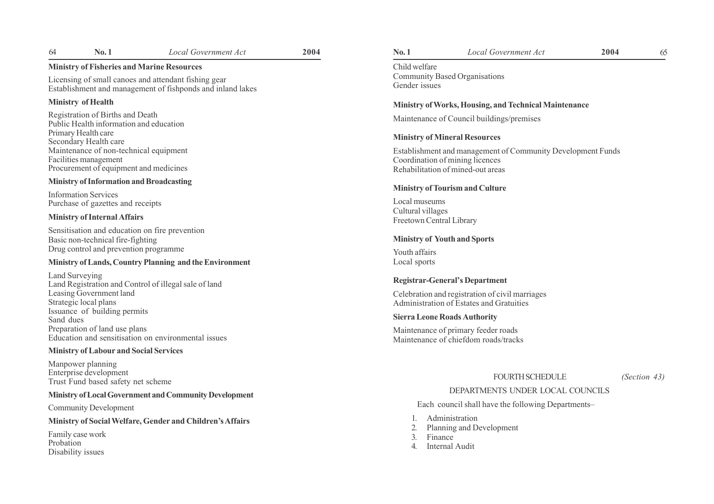# Ministry of Fisheries and Marine Resources

Licensing of small canoes and attendant fishing gear Establishment and management of fishponds and inland lakes

# Ministry of Health

Registration of Births and Death Public Health information and education Primary Health care Secondary Health care Maintenance of non-technical equipment Facilities management Procurement of equipment and medicines

# Ministry of Information and Broadcasting

Information Services Purchase of gazettes and receipts

# Ministry of Internal Affairs

Sensitisation and education on fire prevention Basic non-technical fire-fighting Drug control and prevention programme

# Ministry of Lands, Country Planning and the Environment

Land Surveying Land Registration and Control of illegal sale of land Leasing Government land Strategic local plans Issuance of building permits Sand dues Preparation of land use plans Education and sensitisation on environmental issues

### Ministry of Labour and Social Services

Manpower planning Enterprise development Trust Fund based safety net scheme

# Ministry of Local Government and Community Development

Community Development

## Ministry of Social Welfare, Gender and Children's Affairs

Family case work Probation Disability issues

# 64 No. 1 Local Government Act 2004 10. 1 No. 1 Local Government Act 2004 65

Child welfare Community Based Organisations Gender issues

#### Ministry of Works, Housing, and Technical Maintenance

Maintenance of Council buildings/premises

#### Ministry of Mineral Resources

Establishment and management of Community Development Funds Coordination of mining licences Rehabilitation of mined-out areas

#### Ministry of Tourism and Culture

Local museums Cultural villages Freetown Central Library

#### Ministry of Youth and Sports

Youth affairs Local sports

#### Registrar-General's Department

Celebration and registration of civil marriages Administration of Estates and Gratuities

#### Sierra Leone Roads Authority

Maintenance of primary feeder roads Maintenance of chiefdom roads/tracks

#### FOURTH SCHEDULE (Section 43)

# DEPARTMENTS UNDER LOCAL COUNCILS

Each council shall have the following Departments–

- 1. Administration
- 2. Planning and Development
- 3. Finance
- 4. Internal Audit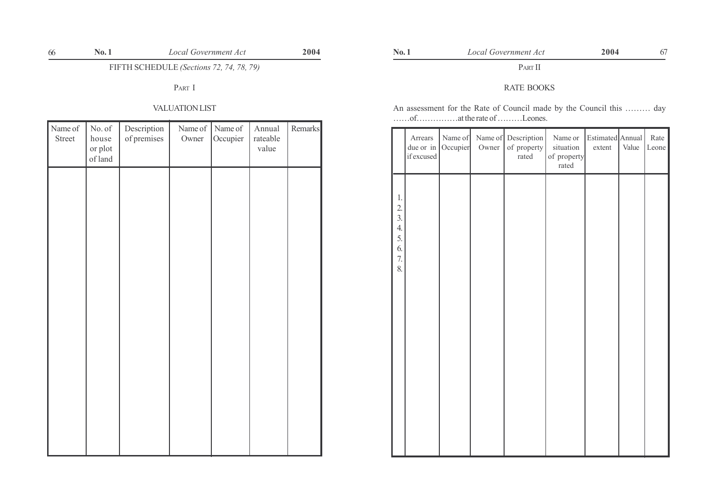FIFTH SCHEDULE (Sections 72, 74, 78, 79)

PART I

# VALUATION LIST

| Name of<br>Street | No. of<br>house<br>or plot<br>of land | Description<br>of premises | Name of<br>Owner | Name of<br>Occupier | Annual<br>rateable<br>value | Remarks |
|-------------------|---------------------------------------|----------------------------|------------------|---------------------|-----------------------------|---------|
|                   |                                       |                            |                  |                     |                             |         |
|                   |                                       |                            |                  |                     |                             |         |
|                   |                                       |                            |                  |                     |                             |         |
|                   |                                       |                            |                  |                     |                             |         |
|                   |                                       |                            |                  |                     |                             |         |
|                   |                                       |                            |                  |                     |                             |         |
|                   |                                       |                            |                  |                     |                             |         |

# PART II

# RATE BOOKS

An assessment for the Rate of Council made by the Council this ......... day  $\ldots$  of  $\ldots$  at the rate of  $\ldots$  Leones.

|                                                            | Arrears<br>due or in<br>if excused | Name of<br>Occupier | Owner | Name of Description<br>of property<br>rated | Name or<br>situation<br>of property<br>rated | Estimated Annual<br>extent | Value | Rate<br>Leone |
|------------------------------------------------------------|------------------------------------|---------------------|-------|---------------------------------------------|----------------------------------------------|----------------------------|-------|---------------|
| 1.<br>2.<br>$\overline{3}$ .<br>4.<br>5.<br>6.<br>7.<br>8. |                                    |                     |       |                                             |                                              |                            |       |               |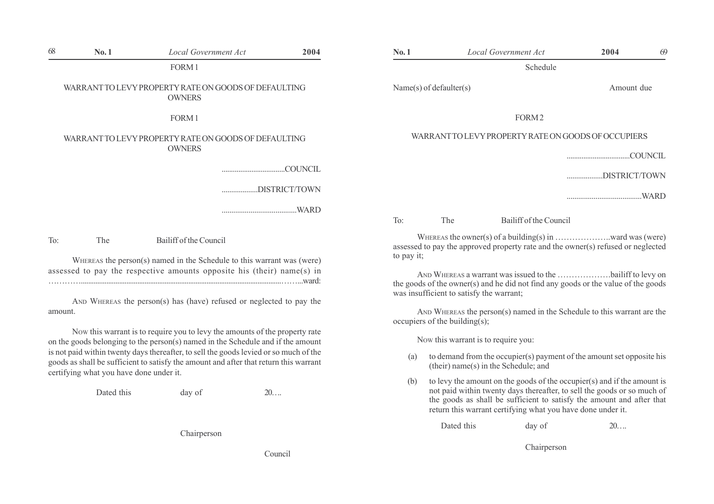| 68      | No.1 | <b>Local Government Act</b>                                                                                                                                                | 2004 | No.1                                                                                                                                                         |     | <b>Local Government Act</b>                                                                                                                                                                              | 2004          | 69   |
|---------|------|----------------------------------------------------------------------------------------------------------------------------------------------------------------------------|------|--------------------------------------------------------------------------------------------------------------------------------------------------------------|-----|----------------------------------------------------------------------------------------------------------------------------------------------------------------------------------------------------------|---------------|------|
|         |      | FORM 1                                                                                                                                                                     |      |                                                                                                                                                              |     | Schedule                                                                                                                                                                                                 |               |      |
|         |      | WARRANT TO LEVY PROPERTY RATE ON GOODS OF DEFAULTING<br><b>OWNERS</b>                                                                                                      |      | Name(s) of defaulter(s)                                                                                                                                      |     |                                                                                                                                                                                                          | Amount due    |      |
|         |      | FORM <sub>1</sub>                                                                                                                                                          |      |                                                                                                                                                              |     | FORM <sub>2</sub>                                                                                                                                                                                        |               |      |
|         |      | WARRANT TO LEVY PROPERTY RATE ON GOODS OF DEFAULTING<br><b>OWNERS</b>                                                                                                      |      |                                                                                                                                                              |     | WARRANT TO LEVY PROPERTY RATE ON GOODS OF OCCUPIERS                                                                                                                                                      |               |      |
|         |      | DISTRICT/TOWN                                                                                                                                                              |      |                                                                                                                                                              |     |                                                                                                                                                                                                          | DISTRICT/TOWN | WARD |
|         |      |                                                                                                                                                                            |      | To:                                                                                                                                                          | The | Bailiff of the Council                                                                                                                                                                                   |               |      |
| To:     | The  | Bailiff of the Council<br>WHEREAS the person(s) named in the Schedule to this warrant was (were)<br>assessed to pay the respective amounts opposite his (their) name(s) in |      | assessed to pay the approved property rate and the owner(s) refused or neglected<br>to pay it;<br>AND WHEREAS a warrant was issued to the bailiff to levy on |     |                                                                                                                                                                                                          |               |      |
| amount. |      | AND WHEREAS the person(s) has (have) refused or neglected to pay the                                                                                                       |      | occupiers of the building $(s)$ ;                                                                                                                            |     | the goods of the owner(s) and he did not find any goods or the value of the goods<br>was insufficient to satisfy the warrant;<br>AND WHEREAS the person(s) named in the Schedule to this warrant are the |               |      |

NOW this warrant is to require you to levy the amounts of the property rate on the goods belonging to the person(s) named in the Schedule and if the amount is not paid within twenty days thereafter, to sell the goods levied or so much of the goods as shall be sufficient to satisfy the amount and after that return this warrant certifying what you have done under it.

Dated this day of 20....

Chairperson

Council

|              |                                          | Schedule                                                                                                                                        |               |
|--------------|------------------------------------------|-------------------------------------------------------------------------------------------------------------------------------------------------|---------------|
|              | Name(s) of defaulter(s)                  |                                                                                                                                                 | Amount due    |
|              |                                          | FORM <sub>2</sub>                                                                                                                               |               |
|              |                                          | WARRANT TO LEVY PROPERTY RATE ON GOODS OF OCCUPIERS                                                                                             |               |
|              |                                          |                                                                                                                                                 |               |
|              |                                          |                                                                                                                                                 | DISTRICT/TOWN |
|              |                                          |                                                                                                                                                 |               |
| $\text{To:}$ | The                                      | Bailiff of the Council                                                                                                                          |               |
| to pay it;   |                                          | assessed to pay the approved property rate and the owner(s) refused or neglected                                                                |               |
|              | was insufficient to satisfy the warrant; | AND WHEREAS a warrant was issued to the bailiff to levy on<br>the goods of the owner(s) and he did not find any goods or the value of the goods |               |
|              | occupiers of the building $(s)$ ;        | AND WHEREAS the person(s) named in the Schedule to this warrant are the                                                                         |               |
|              | Now this warrant is to require you:      |                                                                                                                                                 |               |
| (a)          |                                          | to demand from the occupier(s) payment of the amount set opposite his<br>(their) name(s) in the Schedule; and                                   |               |

(b) to levy the amount on the goods of the occupier(s) and if the amount is not paid within twenty days thereafter, to sell the goods or so much of the goods as shall be sufficient to satisfy the amount and after that

return this warrant certifying what you have done under it.

Dated this day of 20...

Chairperson